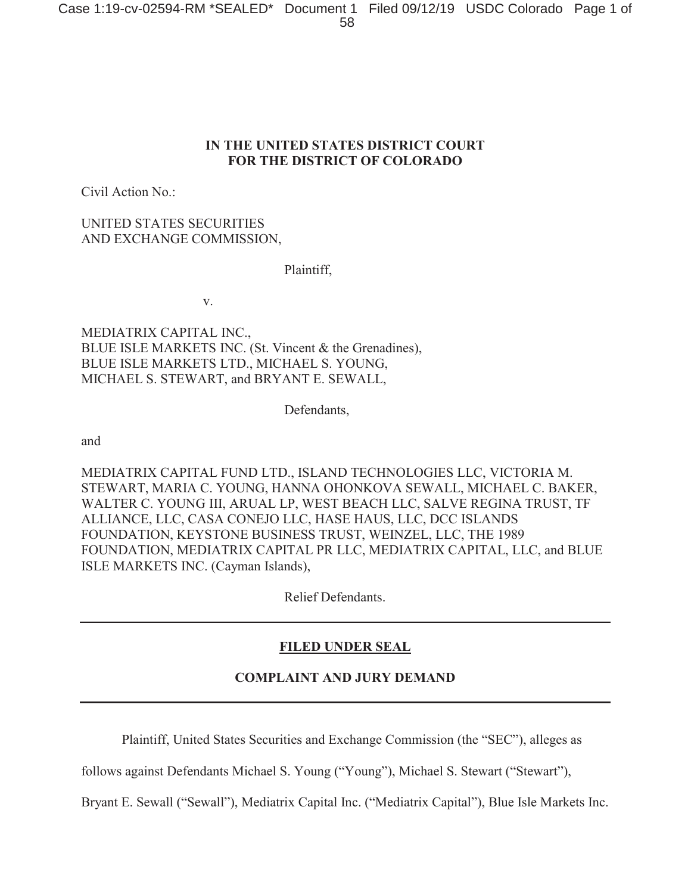## **IN THE UNITED STATES DISTRICT COURT FOR THE DISTRICT OF COLORADO**

Civil Action No.:

# UNITED STATES SECURITIES AND EXCHANGE COMMISSION,

Plaintiff,

v.

MEDIATRIX CAPITAL INC., BLUE ISLE MARKETS INC. (St. Vincent & the Grenadines), BLUE ISLE MARKETS LTD., MICHAEL S. YOUNG, MICHAEL S. STEWART, and BRYANT E. SEWALL,

Defendants,

and

MEDIATRIX CAPITAL FUND LTD., ISLAND TECHNOLOGIES LLC, VICTORIA M. STEWART, MARIA C. YOUNG, HANNA OHONKOVA SEWALL, MICHAEL C. BAKER, WALTER C. YOUNG III, ARUAL LP, WEST BEACH LLC, SALVE REGINA TRUST, TF ALLIANCE, LLC, CASA CONEJO LLC, HASE HAUS, LLC, DCC ISLANDS FOUNDATION, KEYSTONE BUSINESS TRUST, WEINZEL, LLC, THE 1989 FOUNDATION, MEDIATRIX CAPITAL PR LLC, MEDIATRIX CAPITAL, LLC, and BLUE ISLE MARKETS INC. (Cayman Islands),

Relief Defendants.

# **FILED UNDER SEAL**

# **COMPLAINT AND JURY DEMAND**

Plaintiff, United States Securities and Exchange Commission (the "SEC"), alleges as

follows against Defendants Michael S. Young ("Young"), Michael S. Stewart ("Stewart"),

Bryant E. Sewall ("Sewall"), Mediatrix Capital Inc. ("Mediatrix Capital"), Blue Isle Markets Inc.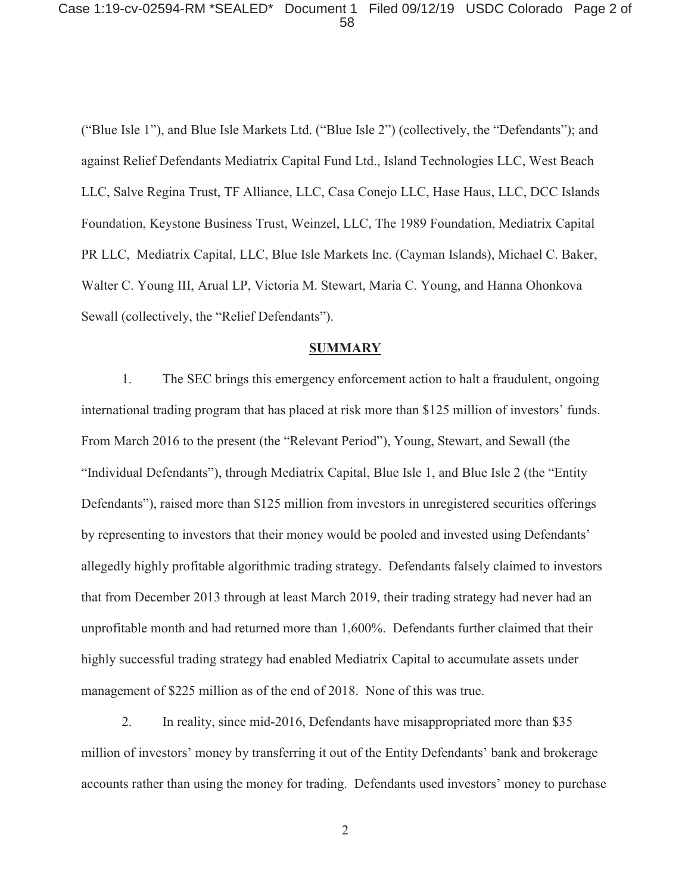#### Case 1:19-cv-02594-RM \*SEALED\* Document 1 Filed 09/12/19 USDC Colorado Page 2 of 58

("Blue Isle 1"), and Blue Isle Markets Ltd. ("Blue Isle 2") (collectively, the "Defendants"); and against Relief Defendants Mediatrix Capital Fund Ltd., Island Technologies LLC, West Beach LLC, Salve Regina Trust, TF Alliance, LLC, Casa Conejo LLC, Hase Haus, LLC, DCC Islands Foundation, Keystone Business Trust, Weinzel, LLC, The 1989 Foundation, Mediatrix Capital PR LLC, Mediatrix Capital, LLC, Blue Isle Markets Inc. (Cayman Islands), Michael C. Baker, Walter C. Young III, Arual LP, Victoria M. Stewart, Maria C. Young, and Hanna Ohonkova Sewall (collectively, the "Relief Defendants").

### **SUMMARY**

1. The SEC brings this emergency enforcement action to halt a fraudulent, ongoing international trading program that has placed at risk more than \$125 million of investors' funds. From March 2016 to the present (the "Relevant Period"), Young, Stewart, and Sewall (the "Individual Defendants"), through Mediatrix Capital, Blue Isle 1, and Blue Isle 2 (the "Entity Defendants"), raised more than \$125 million from investors in unregistered securities offerings by representing to investors that their money would be pooled and invested using Defendants' allegedly highly profitable algorithmic trading strategy. Defendants falsely claimed to investors that from December 2013 through at least March 2019, their trading strategy had never had an unprofitable month and had returned more than 1,600%. Defendants further claimed that their highly successful trading strategy had enabled Mediatrix Capital to accumulate assets under management of \$225 million as of the end of 2018. None of this was true.

2. In reality, since mid-2016, Defendants have misappropriated more than \$35 million of investors' money by transferring it out of the Entity Defendants' bank and brokerage accounts rather than using the money for trading. Defendants used investors' money to purchase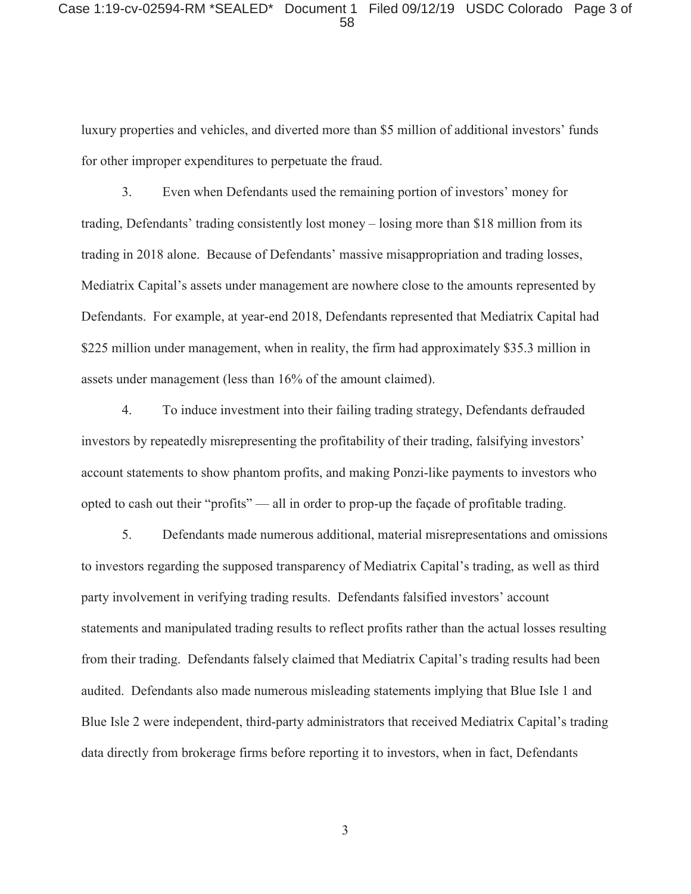luxury properties and vehicles, and diverted more than \$5 million of additional investors' funds for other improper expenditures to perpetuate the fraud.

3. Even when Defendants used the remaining portion of investors' money for trading, Defendants' trading consistently lost money – losing more than \$18 million from its trading in 2018 alone. Because of Defendants' massive misappropriation and trading losses, Mediatrix Capital's assets under management are nowhere close to the amounts represented by Defendants. For example, at year-end 2018, Defendants represented that Mediatrix Capital had \$225 million under management, when in reality, the firm had approximately \$35.3 million in assets under management (less than 16% of the amount claimed).

4. To induce investment into their failing trading strategy, Defendants defrauded investors by repeatedly misrepresenting the profitability of their trading, falsifying investors' account statements to show phantom profits, and making Ponzi-like payments to investors who opted to cash out their "profits" — all in order to prop-up the façade of profitable trading.

5. Defendants made numerous additional, material misrepresentations and omissions to investors regarding the supposed transparency of Mediatrix Capital's trading, as well as third party involvement in verifying trading results. Defendants falsified investors' account statements and manipulated trading results to reflect profits rather than the actual losses resulting from their trading. Defendants falsely claimed that Mediatrix Capital's trading results had been audited. Defendants also made numerous misleading statements implying that Blue Isle 1 and Blue Isle 2 were independent, third-party administrators that received Mediatrix Capital's trading data directly from brokerage firms before reporting it to investors, when in fact, Defendants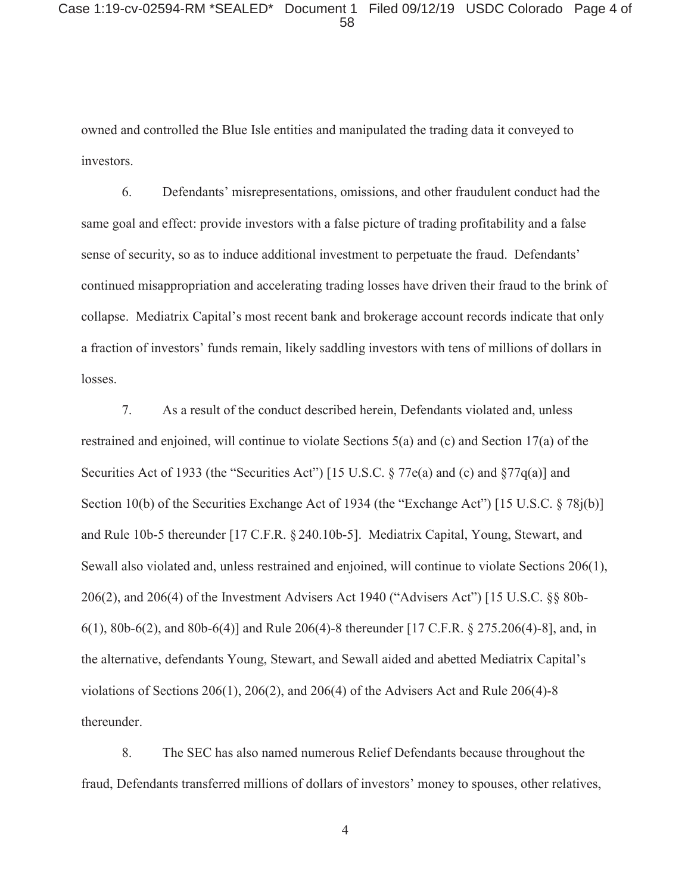owned and controlled the Blue Isle entities and manipulated the trading data it conveyed to investors.

6. Defendants' misrepresentations, omissions, and other fraudulent conduct had the same goal and effect: provide investors with a false picture of trading profitability and a false sense of security, so as to induce additional investment to perpetuate the fraud. Defendants' continued misappropriation and accelerating trading losses have driven their fraud to the brink of collapse. Mediatrix Capital's most recent bank and brokerage account records indicate that only a fraction of investors' funds remain, likely saddling investors with tens of millions of dollars in losses.

7. As a result of the conduct described herein, Defendants violated and, unless restrained and enjoined, will continue to violate Sections 5(a) and (c) and Section 17(a) of the Securities Act of 1933 (the "Securities Act") [15 U.S.C. § 77e(a) and (c) and §77q(a)] and Section 10(b) of the Securities Exchange Act of 1934 (the "Exchange Act") [15 U.S.C. § 78j(b)] and Rule 10b-5 thereunder [17 C.F.R. § 240.10b-5]. Mediatrix Capital, Young, Stewart, and Sewall also violated and, unless restrained and enjoined, will continue to violate Sections 206(1), 206(2), and 206(4) of the Investment Advisers Act 1940 ("Advisers Act") [15 U.S.C. §§ 80b-6(1), 80b-6(2), and 80b-6(4)] and Rule 206(4)-8 thereunder [17 C.F.R. § 275.206(4)-8], and, in the alternative, defendants Young, Stewart, and Sewall aided and abetted Mediatrix Capital's violations of Sections 206(1), 206(2), and 206(4) of the Advisers Act and Rule 206(4)-8 thereunder.

8. The SEC has also named numerous Relief Defendants because throughout the fraud, Defendants transferred millions of dollars of investors' money to spouses, other relatives,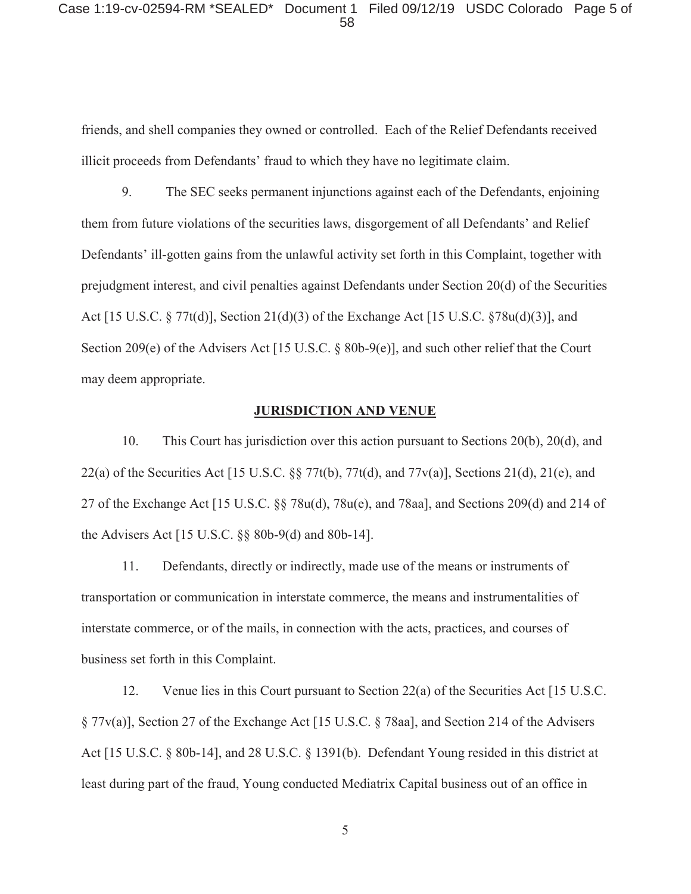#### Case 1:19-cv-02594-RM \*SEALED\* Document 1 Filed 09/12/19 USDC Colorado Page 5 of 58

friends, and shell companies they owned or controlled. Each of the Relief Defendants received illicit proceeds from Defendants' fraud to which they have no legitimate claim.

9. The SEC seeks permanent injunctions against each of the Defendants, enjoining them from future violations of the securities laws, disgorgement of all Defendants' and Relief Defendants' ill-gotten gains from the unlawful activity set forth in this Complaint, together with prejudgment interest, and civil penalties against Defendants under Section 20(d) of the Securities Act [15 U.S.C. § 77t(d)], Section 21(d)(3) of the Exchange Act [15 U.S.C. §78u(d)(3)], and Section 209(e) of the Advisers Act [15 U.S.C. § 80b-9(e)], and such other relief that the Court may deem appropriate.

### **JURISDICTION AND VENUE**

10. This Court has jurisdiction over this action pursuant to Sections 20(b), 20(d), and 22(a) of the Securities Act [15 U.S.C.  $\S$   $\frac{77t(b)}{77t(d)}$ , and  $\frac{77v(a)}{6}$ , Sections 21(d), 21(e), and 27 of the Exchange Act [15 U.S.C. §§ 78u(d), 78u(e), and 78aa], and Sections 209(d) and 214 of the Advisers Act [15 U.S.C. §§ 80b-9(d) and 80b-14].

11. Defendants, directly or indirectly, made use of the means or instruments of transportation or communication in interstate commerce, the means and instrumentalities of interstate commerce, or of the mails, in connection with the acts, practices, and courses of business set forth in this Complaint.

12. Venue lies in this Court pursuant to Section 22(a) of the Securities Act [15 U.S.C. § 77v(a)], Section 27 of the Exchange Act [15 U.S.C. § 78aa], and Section 214 of the Advisers Act [15 U.S.C. § 80b-14], and 28 U.S.C. § 1391(b). Defendant Young resided in this district at least during part of the fraud, Young conducted Mediatrix Capital business out of an office in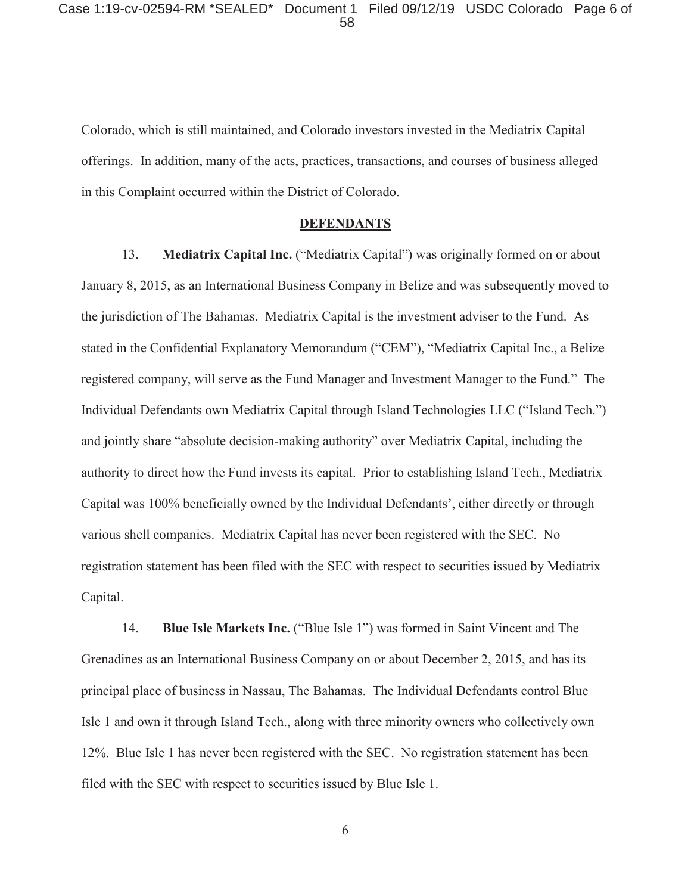Colorado, which is still maintained, and Colorado investors invested in the Mediatrix Capital offerings. In addition, many of the acts, practices, transactions, and courses of business alleged in this Complaint occurred within the District of Colorado.

#### **DEFENDANTS**

13. **Mediatrix Capital Inc.** ("Mediatrix Capital") was originally formed on or about January 8, 2015, as an International Business Company in Belize and was subsequently moved to the jurisdiction of The Bahamas. Mediatrix Capital is the investment adviser to the Fund. As stated in the Confidential Explanatory Memorandum ("CEM"), "Mediatrix Capital Inc., a Belize registered company, will serve as the Fund Manager and Investment Manager to the Fund." The Individual Defendants own Mediatrix Capital through Island Technologies LLC ("Island Tech.") and jointly share "absolute decision-making authority" over Mediatrix Capital, including the authority to direct how the Fund invests its capital. Prior to establishing Island Tech., Mediatrix Capital was 100% beneficially owned by the Individual Defendants', either directly or through various shell companies. Mediatrix Capital has never been registered with the SEC. No registration statement has been filed with the SEC with respect to securities issued by Mediatrix Capital.

14. **Blue Isle Markets Inc.** ("Blue Isle 1") was formed in Saint Vincent and The Grenadines as an International Business Company on or about December 2, 2015, and has its principal place of business in Nassau, The Bahamas. The Individual Defendants control Blue Isle 1 and own it through Island Tech., along with three minority owners who collectively own 12%. Blue Isle 1 has never been registered with the SEC. No registration statement has been filed with the SEC with respect to securities issued by Blue Isle 1.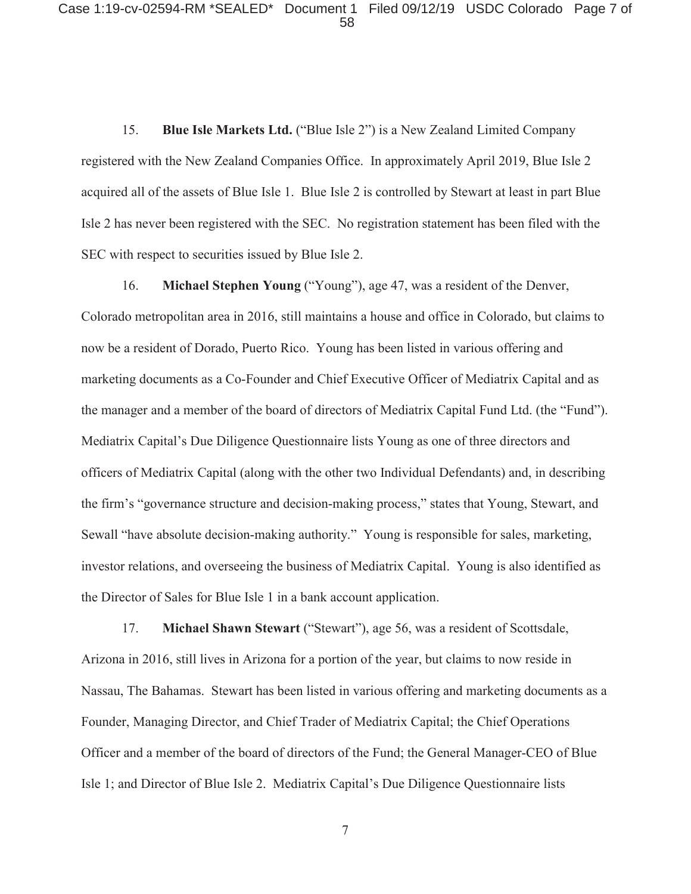15. **Blue Isle Markets Ltd.** ("Blue Isle 2") is a New Zealand Limited Company registered with the New Zealand Companies Office. In approximately April 2019, Blue Isle 2 acquired all of the assets of Blue Isle 1. Blue Isle 2 is controlled by Stewart at least in part Blue Isle 2 has never been registered with the SEC. No registration statement has been filed with the SEC with respect to securities issued by Blue Isle 2.

16. **Michael Stephen Young** ("Young"), age 47, was a resident of the Denver, Colorado metropolitan area in 2016, still maintains a house and office in Colorado, but claims to now be a resident of Dorado, Puerto Rico. Young has been listed in various offering and marketing documents as a Co-Founder and Chief Executive Officer of Mediatrix Capital and as the manager and a member of the board of directors of Mediatrix Capital Fund Ltd. (the "Fund"). Mediatrix Capital's Due Diligence Questionnaire lists Young as one of three directors and officers of Mediatrix Capital (along with the other two Individual Defendants) and, in describing the firm's "governance structure and decision-making process," states that Young, Stewart, and Sewall "have absolute decision-making authority." Young is responsible for sales, marketing, investor relations, and overseeing the business of Mediatrix Capital. Young is also identified as the Director of Sales for Blue Isle 1 in a bank account application.

17. **Michael Shawn Stewart** ("Stewart"), age 56, was a resident of Scottsdale, Arizona in 2016, still lives in Arizona for a portion of the year, but claims to now reside in Nassau, The Bahamas. Stewart has been listed in various offering and marketing documents as a Founder, Managing Director, and Chief Trader of Mediatrix Capital; the Chief Operations Officer and a member of the board of directors of the Fund; the General Manager-CEO of Blue Isle 1; and Director of Blue Isle 2. Mediatrix Capital's Due Diligence Questionnaire lists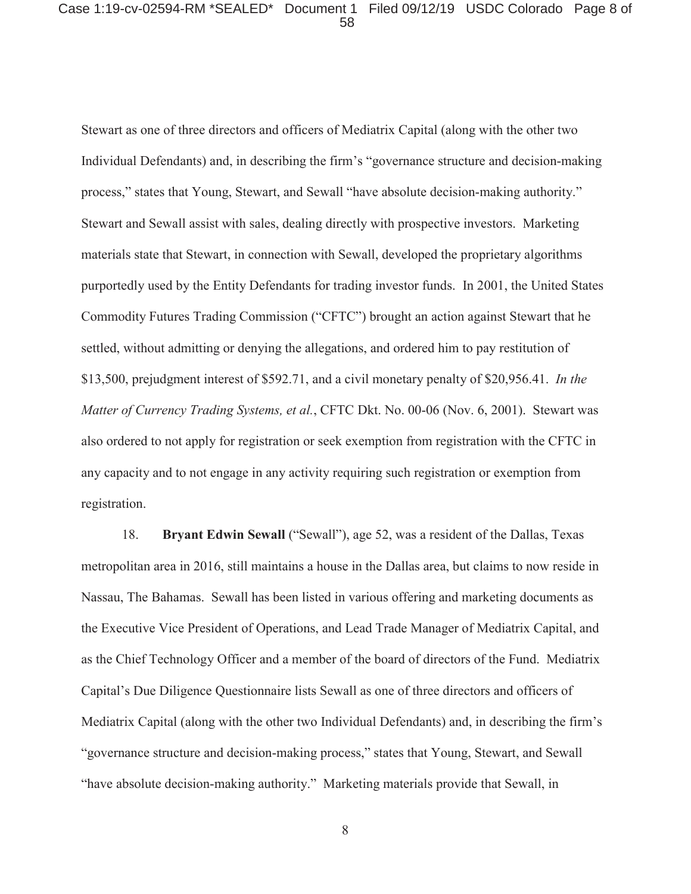#### Case 1:19-cv-02594-RM \*SEALED\* Document 1 Filed 09/12/19 USDC Colorado Page 8 of 58

Stewart as one of three directors and officers of Mediatrix Capital (along with the other two Individual Defendants) and, in describing the firm's "governance structure and decision-making process," states that Young, Stewart, and Sewall "have absolute decision-making authority." Stewart and Sewall assist with sales, dealing directly with prospective investors. Marketing materials state that Stewart, in connection with Sewall, developed the proprietary algorithms purportedly used by the Entity Defendants for trading investor funds. In 2001, the United States Commodity Futures Trading Commission ("CFTC") brought an action against Stewart that he settled, without admitting or denying the allegations, and ordered him to pay restitution of \$13,500, prejudgment interest of \$592.71, and a civil monetary penalty of \$20,956.41. *In the Matter of Currency Trading Systems, et al.*, CFTC Dkt. No. 00-06 (Nov. 6, 2001). Stewart was also ordered to not apply for registration or seek exemption from registration with the CFTC in any capacity and to not engage in any activity requiring such registration or exemption from registration.

18. **Bryant Edwin Sewall** ("Sewall"), age 52, was a resident of the Dallas, Texas metropolitan area in 2016, still maintains a house in the Dallas area, but claims to now reside in Nassau, The Bahamas. Sewall has been listed in various offering and marketing documents as the Executive Vice President of Operations, and Lead Trade Manager of Mediatrix Capital, and as the Chief Technology Officer and a member of the board of directors of the Fund. Mediatrix Capital's Due Diligence Questionnaire lists Sewall as one of three directors and officers of Mediatrix Capital (along with the other two Individual Defendants) and, in describing the firm's "governance structure and decision-making process," states that Young, Stewart, and Sewall "have absolute decision-making authority." Marketing materials provide that Sewall, in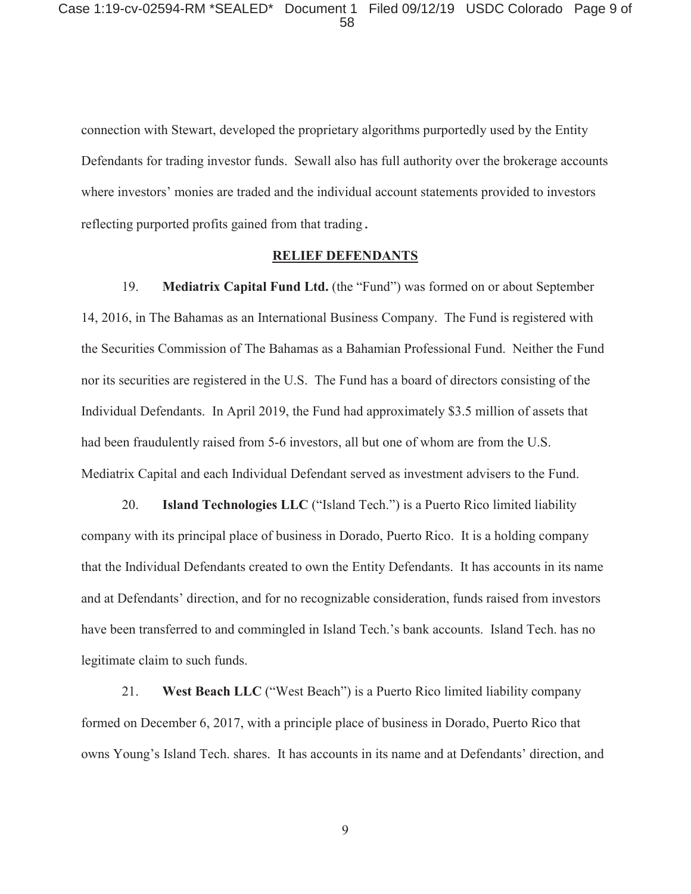connection with Stewart, developed the proprietary algorithms purportedly used by the Entity Defendants for trading investor funds. Sewall also has full authority over the brokerage accounts where investors' monies are traded and the individual account statements provided to investors reflecting purported profits gained from that trading.

#### **RELIEF DEFENDANTS**

19. **Mediatrix Capital Fund Ltd.** (the "Fund") was formed on or about September 14, 2016, in The Bahamas as an International Business Company. The Fund is registered with the Securities Commission of The Bahamas as a Bahamian Professional Fund. Neither the Fund nor its securities are registered in the U.S. The Fund has a board of directors consisting of the Individual Defendants. In April 2019, the Fund had approximately \$3.5 million of assets that had been fraudulently raised from 5-6 investors, all but one of whom are from the U.S. Mediatrix Capital and each Individual Defendant served as investment advisers to the Fund.

20. **Island Technologies LLC** ("Island Tech.") is a Puerto Rico limited liability company with its principal place of business in Dorado, Puerto Rico. It is a holding company that the Individual Defendants created to own the Entity Defendants. It has accounts in its name and at Defendants' direction, and for no recognizable consideration, funds raised from investors have been transferred to and commingled in Island Tech.'s bank accounts. Island Tech. has no legitimate claim to such funds.

21. **West Beach LLC** ("West Beach") is a Puerto Rico limited liability company formed on December 6, 2017, with a principle place of business in Dorado, Puerto Rico that owns Young's Island Tech. shares. It has accounts in its name and at Defendants' direction, and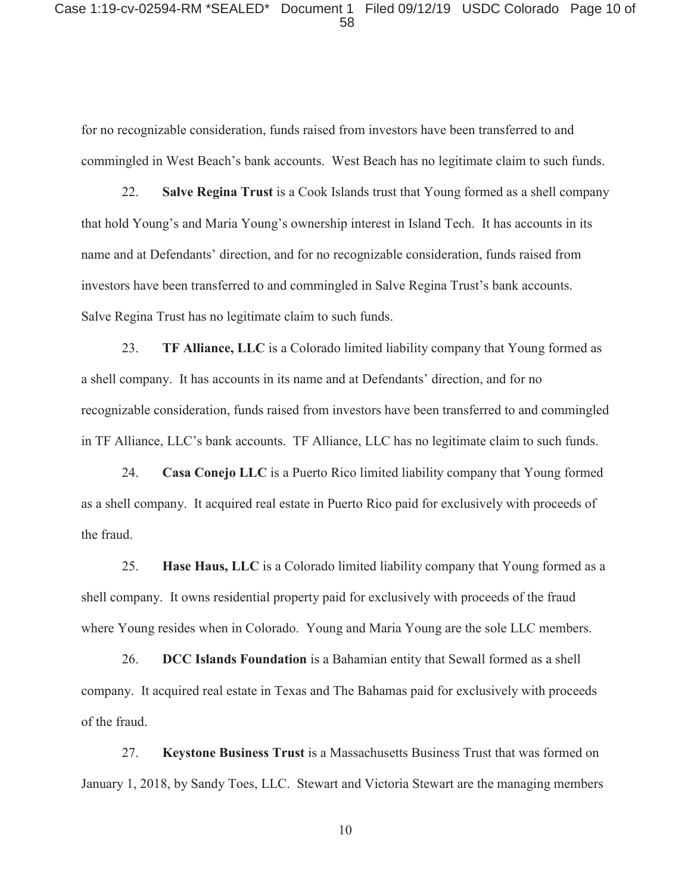#### Case 1:19-cv-02594-RM \*SEALED\* Document 1 Filed 09/12/19 USDC Colorado Page 10 of 58

for no recognizable consideration, funds raised from investors have been transferred to and commingled in West Beach's bank accounts. West Beach has no legitimate claim to such funds.

22. **Salve Regina Trust** is a Cook Islands trust that Young formed as a shell company that hold Young's and Maria Young's ownership interest in Island Tech. It has accounts in its name and at Defendants' direction, and for no recognizable consideration, funds raised from investors have been transferred to and commingled in Salve Regina Trust's bank accounts. Salve Regina Trust has no legitimate claim to such funds.

23. **TF Alliance, LLC** is a Colorado limited liability company that Young formed as a shell company. It has accounts in its name and at Defendants' direction, and for no recognizable consideration, funds raised from investors have been transferred to and commingled in TF Alliance, LLC's bank accounts. TF Alliance, LLC has no legitimate claim to such funds.

24. **Casa Conejo LLC** is a Puerto Rico limited liability company that Young formed as a shell company. It acquired real estate in Puerto Rico paid for exclusively with proceeds of the fraud.

25. **Hase Haus, LLC** is a Colorado limited liability company that Young formed as a shell company. It owns residential property paid for exclusively with proceeds of the fraud where Young resides when in Colorado. Young and Maria Young are the sole LLC members.

26. **DCC Islands Foundation** is a Bahamian entity that Sewall formed as a shell company. It acquired real estate in Texas and The Bahamas paid for exclusively with proceeds of the fraud.

27. **Keystone Business Trust** is a Massachusetts Business Trust that was formed on January 1, 2018, by Sandy Toes, LLC. Stewart and Victoria Stewart are the managing members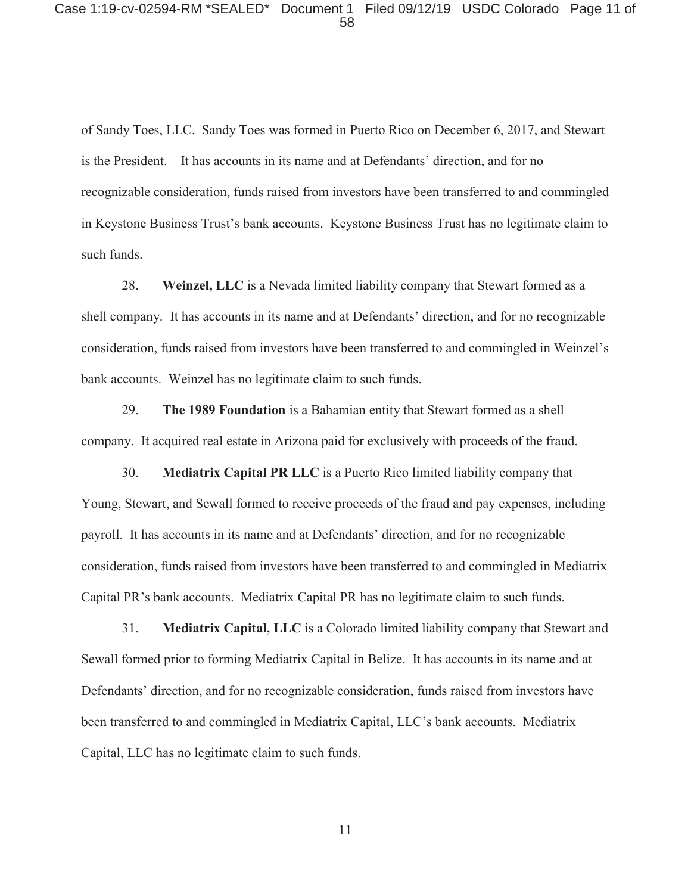of Sandy Toes, LLC. Sandy Toes was formed in Puerto Rico on December 6, 2017, and Stewart is the President. It has accounts in its name and at Defendants' direction, and for no recognizable consideration, funds raised from investors have been transferred to and commingled in Keystone Business Trust's bank accounts. Keystone Business Trust has no legitimate claim to such funds.

28. **Weinzel, LLC** is a Nevada limited liability company that Stewart formed as a shell company. It has accounts in its name and at Defendants' direction, and for no recognizable consideration, funds raised from investors have been transferred to and commingled in Weinzel's bank accounts. Weinzel has no legitimate claim to such funds.

29. **The 1989 Foundation** is a Bahamian entity that Stewart formed as a shell company. It acquired real estate in Arizona paid for exclusively with proceeds of the fraud.

30. **Mediatrix Capital PR LLC** is a Puerto Rico limited liability company that Young, Stewart, and Sewall formed to receive proceeds of the fraud and pay expenses, including payroll. It has accounts in its name and at Defendants' direction, and for no recognizable consideration, funds raised from investors have been transferred to and commingled in Mediatrix Capital PR's bank accounts. Mediatrix Capital PR has no legitimate claim to such funds.

31. **Mediatrix Capital, LLC** is a Colorado limited liability company that Stewart and Sewall formed prior to forming Mediatrix Capital in Belize. It has accounts in its name and at Defendants' direction, and for no recognizable consideration, funds raised from investors have been transferred to and commingled in Mediatrix Capital, LLC's bank accounts. Mediatrix Capital, LLC has no legitimate claim to such funds.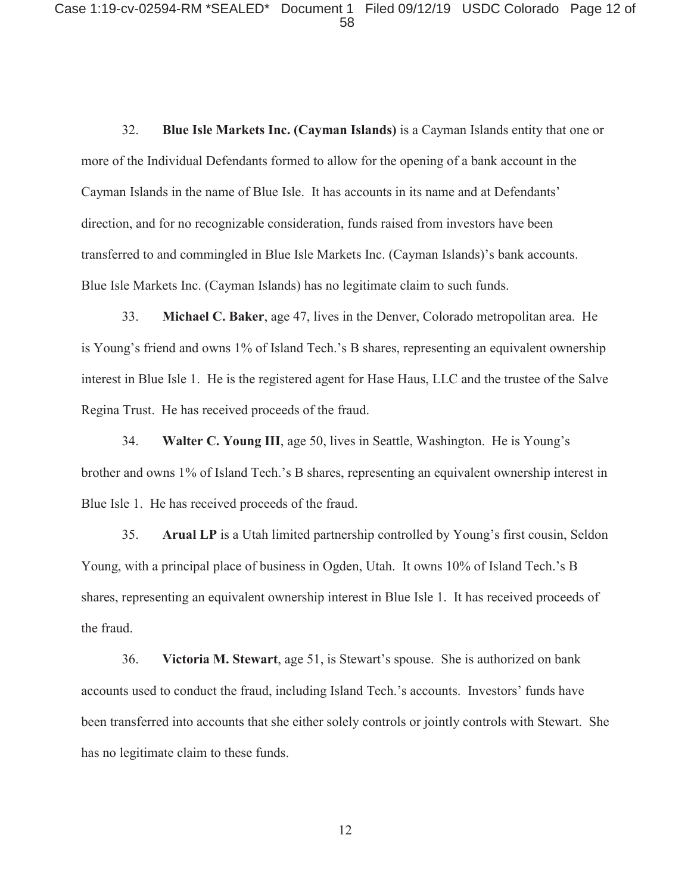#### Case 1:19-cv-02594-RM \*SEALED\* Document 1 Filed 09/12/19 USDC Colorado Page 12 of 58

32. **Blue Isle Markets Inc. (Cayman Islands)** is a Cayman Islands entity that one or more of the Individual Defendants formed to allow for the opening of a bank account in the Cayman Islands in the name of Blue Isle. It has accounts in its name and at Defendants' direction, and for no recognizable consideration, funds raised from investors have been transferred to and commingled in Blue Isle Markets Inc. (Cayman Islands)'s bank accounts. Blue Isle Markets Inc. (Cayman Islands) has no legitimate claim to such funds.

33. **Michael C. Baker**, age 47, lives in the Denver, Colorado metropolitan area. He is Young's friend and owns 1% of Island Tech.'s B shares, representing an equivalent ownership interest in Blue Isle 1. He is the registered agent for Hase Haus, LLC and the trustee of the Salve Regina Trust. He has received proceeds of the fraud.

34. **Walter C. Young III**, age 50, lives in Seattle, Washington. He is Young's brother and owns 1% of Island Tech.'s B shares, representing an equivalent ownership interest in Blue Isle 1. He has received proceeds of the fraud.

35. **Arual LP** is a Utah limited partnership controlled by Young's first cousin, Seldon Young, with a principal place of business in Ogden, Utah. It owns 10% of Island Tech.'s B shares, representing an equivalent ownership interest in Blue Isle 1. It has received proceeds of the fraud.

36. **Victoria M. Stewart**, age 51, is Stewart's spouse. She is authorized on bank accounts used to conduct the fraud, including Island Tech.'s accounts. Investors' funds have been transferred into accounts that she either solely controls or jointly controls with Stewart. She has no legitimate claim to these funds.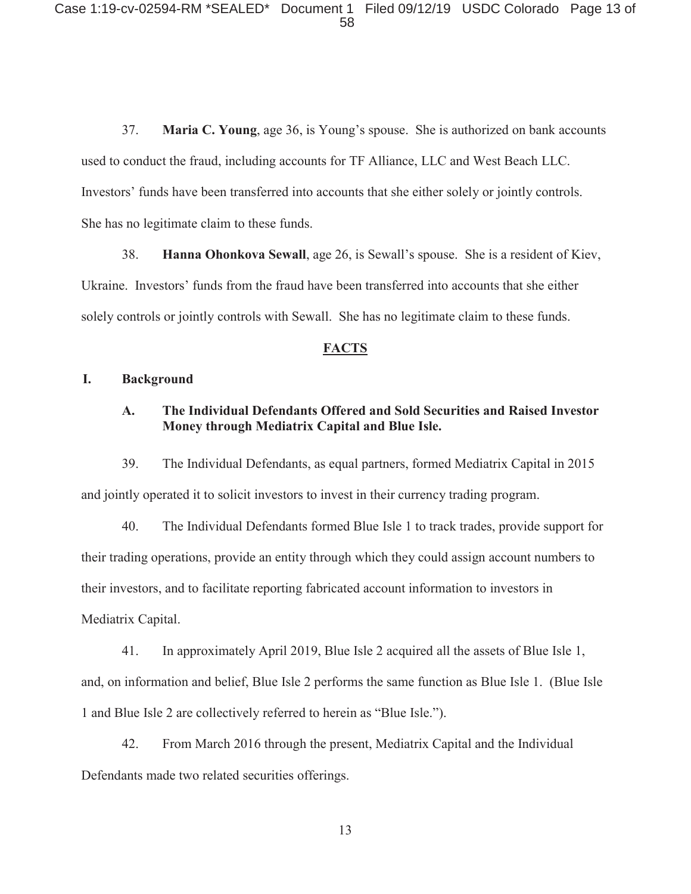37. **Maria C. Young**, age 36, is Young's spouse. She is authorized on bank accounts used to conduct the fraud, including accounts for TF Alliance, LLC and West Beach LLC. Investors' funds have been transferred into accounts that she either solely or jointly controls. She has no legitimate claim to these funds.

38. **Hanna Ohonkova Sewall**, age 26, is Sewall's spouse. She is a resident of Kiev, Ukraine. Investors' funds from the fraud have been transferred into accounts that she either solely controls or jointly controls with Sewall. She has no legitimate claim to these funds.

#### **FACTS**

## **I. Background**

## **A. The Individual Defendants Offered and Sold Securities and Raised Investor Money through Mediatrix Capital and Blue Isle.**

39. The Individual Defendants, as equal partners, formed Mediatrix Capital in 2015 and jointly operated it to solicit investors to invest in their currency trading program.

40. The Individual Defendants formed Blue Isle 1 to track trades, provide support for their trading operations, provide an entity through which they could assign account numbers to their investors, and to facilitate reporting fabricated account information to investors in Mediatrix Capital.

41. In approximately April 2019, Blue Isle 2 acquired all the assets of Blue Isle 1, and, on information and belief, Blue Isle 2 performs the same function as Blue Isle 1. (Blue Isle 1 and Blue Isle 2 are collectively referred to herein as "Blue Isle.").

42. From March 2016 through the present, Mediatrix Capital and the Individual Defendants made two related securities offerings.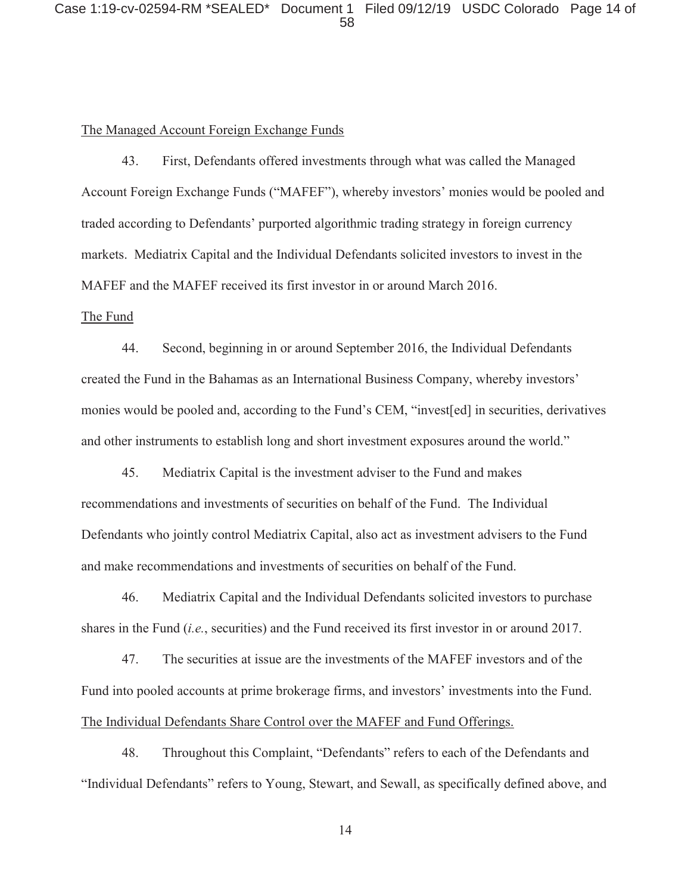### The Managed Account Foreign Exchange Funds

43. First, Defendants offered investments through what was called the Managed Account Foreign Exchange Funds ("MAFEF"), whereby investors' monies would be pooled and traded according to Defendants' purported algorithmic trading strategy in foreign currency markets. Mediatrix Capital and the Individual Defendants solicited investors to invest in the MAFEF and the MAFEF received its first investor in or around March 2016.

### The Fund

44. Second, beginning in or around September 2016, the Individual Defendants created the Fund in the Bahamas as an International Business Company, whereby investors' monies would be pooled and, according to the Fund's CEM, "invest[ed] in securities, derivatives and other instruments to establish long and short investment exposures around the world."

45. Mediatrix Capital is the investment adviser to the Fund and makes recommendations and investments of securities on behalf of the Fund. The Individual Defendants who jointly control Mediatrix Capital, also act as investment advisers to the Fund and make recommendations and investments of securities on behalf of the Fund.

46. Mediatrix Capital and the Individual Defendants solicited investors to purchase shares in the Fund (*i.e.*, securities) and the Fund received its first investor in or around 2017.

47. The securities at issue are the investments of the MAFEF investors and of the Fund into pooled accounts at prime brokerage firms, and investors' investments into the Fund. The Individual Defendants Share Control over the MAFEF and Fund Offerings.

48. Throughout this Complaint, "Defendants" refers to each of the Defendants and "Individual Defendants" refers to Young, Stewart, and Sewall, as specifically defined above, and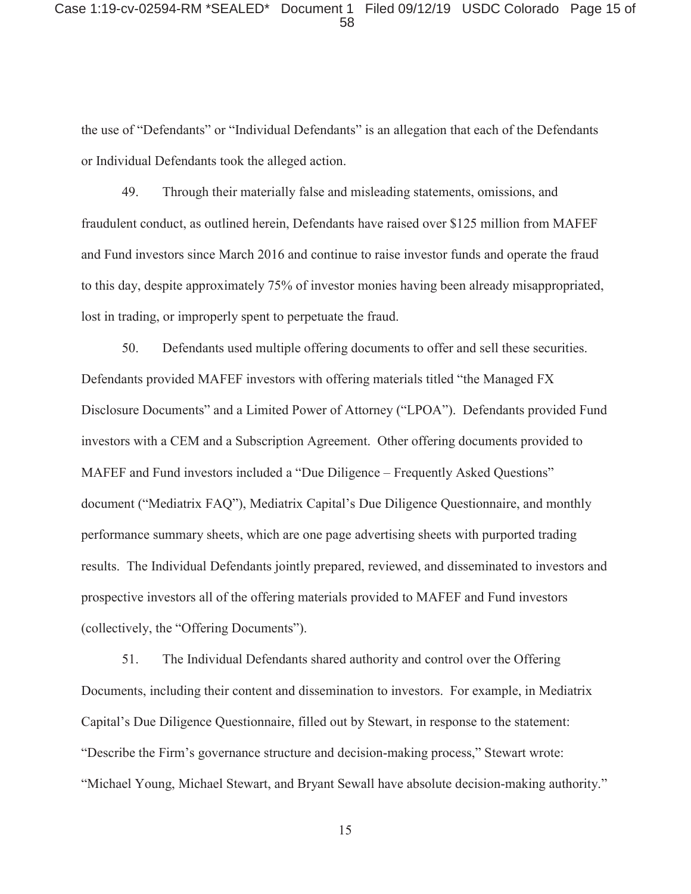the use of "Defendants" or "Individual Defendants" is an allegation that each of the Defendants or Individual Defendants took the alleged action.

49. Through their materially false and misleading statements, omissions, and fraudulent conduct, as outlined herein, Defendants have raised over \$125 million from MAFEF and Fund investors since March 2016 and continue to raise investor funds and operate the fraud to this day, despite approximately 75% of investor monies having been already misappropriated, lost in trading, or improperly spent to perpetuate the fraud.

50. Defendants used multiple offering documents to offer and sell these securities. Defendants provided MAFEF investors with offering materials titled "the Managed FX Disclosure Documents" and a Limited Power of Attorney ("LPOA"). Defendants provided Fund investors with a CEM and a Subscription Agreement. Other offering documents provided to MAFEF and Fund investors included a "Due Diligence – Frequently Asked Questions" document ("Mediatrix FAQ"), Mediatrix Capital's Due Diligence Questionnaire, and monthly performance summary sheets, which are one page advertising sheets with purported trading results. The Individual Defendants jointly prepared, reviewed, and disseminated to investors and prospective investors all of the offering materials provided to MAFEF and Fund investors (collectively, the "Offering Documents").

51. The Individual Defendants shared authority and control over the Offering Documents, including their content and dissemination to investors. For example, in Mediatrix Capital's Due Diligence Questionnaire, filled out by Stewart, in response to the statement: "Describe the Firm's governance structure and decision-making process," Stewart wrote: "Michael Young, Michael Stewart, and Bryant Sewall have absolute decision-making authority."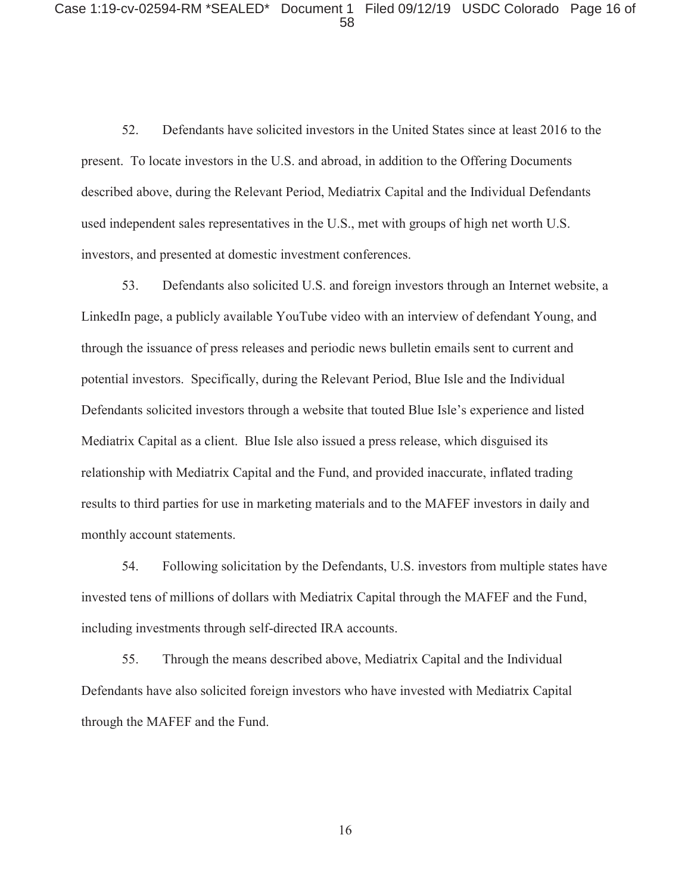52. Defendants have solicited investors in the United States since at least 2016 to the present. To locate investors in the U.S. and abroad, in addition to the Offering Documents described above, during the Relevant Period, Mediatrix Capital and the Individual Defendants used independent sales representatives in the U.S., met with groups of high net worth U.S. investors, and presented at domestic investment conferences.

53. Defendants also solicited U.S. and foreign investors through an Internet website, a LinkedIn page, a publicly available YouTube video with an interview of defendant Young, and through the issuance of press releases and periodic news bulletin emails sent to current and potential investors. Specifically, during the Relevant Period, Blue Isle and the Individual Defendants solicited investors through a website that touted Blue Isle's experience and listed Mediatrix Capital as a client. Blue Isle also issued a press release, which disguised its relationship with Mediatrix Capital and the Fund, and provided inaccurate, inflated trading results to third parties for use in marketing materials and to the MAFEF investors in daily and monthly account statements.

54. Following solicitation by the Defendants, U.S. investors from multiple states have invested tens of millions of dollars with Mediatrix Capital through the MAFEF and the Fund, including investments through self-directed IRA accounts.

55. Through the means described above, Mediatrix Capital and the Individual Defendants have also solicited foreign investors who have invested with Mediatrix Capital through the MAFEF and the Fund.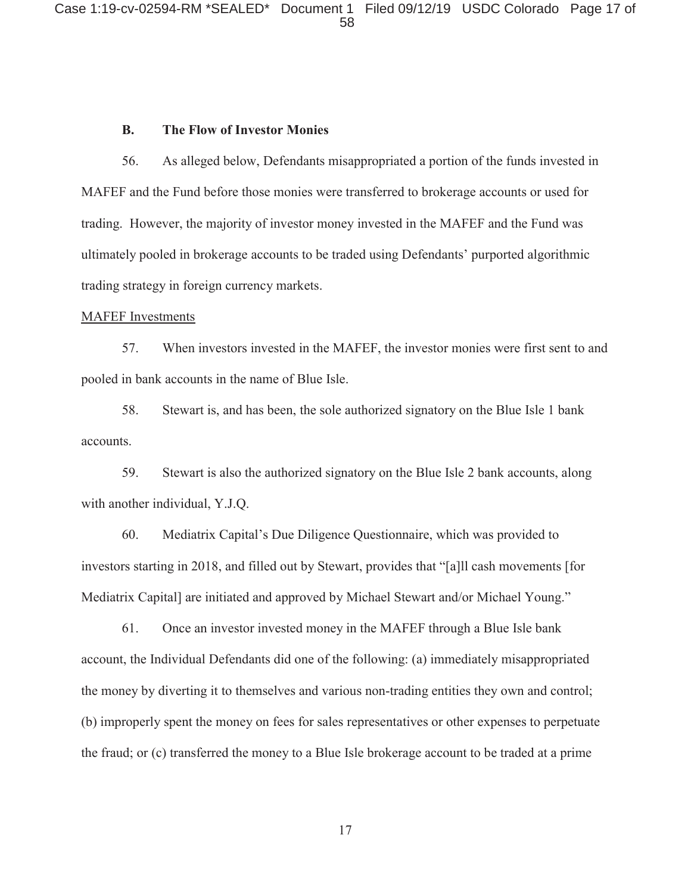### **B. The Flow of Investor Monies**

56. As alleged below, Defendants misappropriated a portion of the funds invested in MAFEF and the Fund before those monies were transferred to brokerage accounts or used for trading. However, the majority of investor money invested in the MAFEF and the Fund was ultimately pooled in brokerage accounts to be traded using Defendants' purported algorithmic trading strategy in foreign currency markets.

### MAFEF Investments

57. When investors invested in the MAFEF, the investor monies were first sent to and pooled in bank accounts in the name of Blue Isle.

58. Stewart is, and has been, the sole authorized signatory on the Blue Isle 1 bank accounts.

59. Stewart is also the authorized signatory on the Blue Isle 2 bank accounts, along with another individual, Y.J.Q.

60. Mediatrix Capital's Due Diligence Questionnaire, which was provided to investors starting in 2018, and filled out by Stewart, provides that "[a]ll cash movements [for Mediatrix Capital] are initiated and approved by Michael Stewart and/or Michael Young."

61. Once an investor invested money in the MAFEF through a Blue Isle bank account, the Individual Defendants did one of the following: (a) immediately misappropriated the money by diverting it to themselves and various non-trading entities they own and control; (b) improperly spent the money on fees for sales representatives or other expenses to perpetuate the fraud; or (c) transferred the money to a Blue Isle brokerage account to be traded at a prime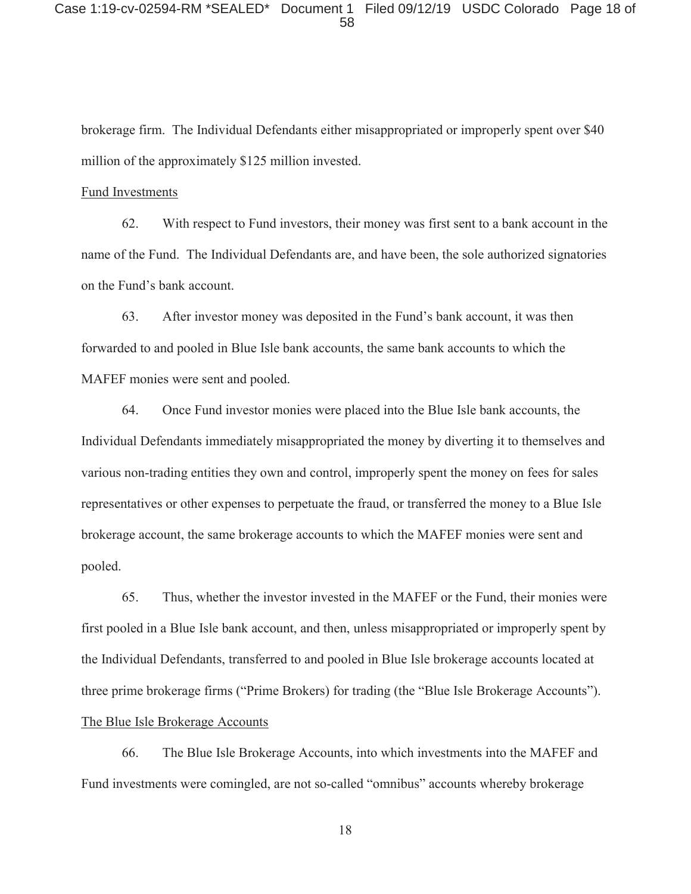brokerage firm. The Individual Defendants either misappropriated or improperly spent over \$40 million of the approximately \$125 million invested.

#### Fund Investments

62. With respect to Fund investors, their money was first sent to a bank account in the name of the Fund. The Individual Defendants are, and have been, the sole authorized signatories on the Fund's bank account.

63. After investor money was deposited in the Fund's bank account, it was then forwarded to and pooled in Blue Isle bank accounts, the same bank accounts to which the MAFEF monies were sent and pooled.

64. Once Fund investor monies were placed into the Blue Isle bank accounts, the Individual Defendants immediately misappropriated the money by diverting it to themselves and various non-trading entities they own and control, improperly spent the money on fees for sales representatives or other expenses to perpetuate the fraud, or transferred the money to a Blue Isle brokerage account, the same brokerage accounts to which the MAFEF monies were sent and pooled.

65. Thus, whether the investor invested in the MAFEF or the Fund, their monies were first pooled in a Blue Isle bank account, and then, unless misappropriated or improperly spent by the Individual Defendants, transferred to and pooled in Blue Isle brokerage accounts located at three prime brokerage firms ("Prime Brokers) for trading (the "Blue Isle Brokerage Accounts"). The Blue Isle Brokerage Accounts

66. The Blue Isle Brokerage Accounts, into which investments into the MAFEF and Fund investments were comingled, are not so-called "omnibus" accounts whereby brokerage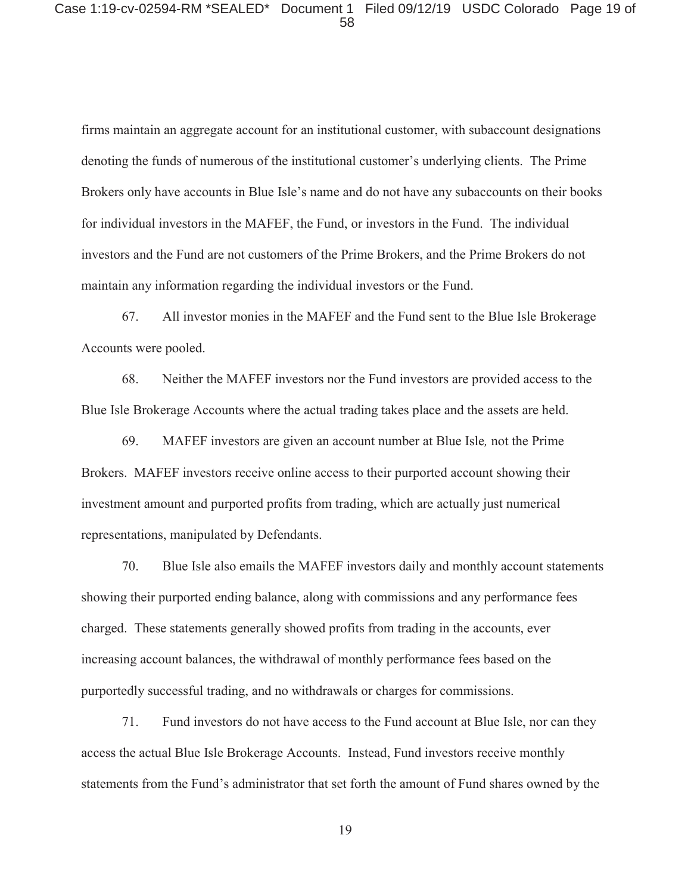#### Case 1:19-cv-02594-RM \*SEALED\* Document 1 Filed 09/12/19 USDC Colorado Page 19 of 58

firms maintain an aggregate account for an institutional customer, with subaccount designations denoting the funds of numerous of the institutional customer's underlying clients. The Prime Brokers only have accounts in Blue Isle's name and do not have any subaccounts on their books for individual investors in the MAFEF, the Fund, or investors in the Fund. The individual investors and the Fund are not customers of the Prime Brokers, and the Prime Brokers do not maintain any information regarding the individual investors or the Fund.

67. All investor monies in the MAFEF and the Fund sent to the Blue Isle Brokerage Accounts were pooled.

68. Neither the MAFEF investors nor the Fund investors are provided access to the Blue Isle Brokerage Accounts where the actual trading takes place and the assets are held.

69. MAFEF investors are given an account number at Blue Isle*,* not the Prime Brokers. MAFEF investors receive online access to their purported account showing their investment amount and purported profits from trading, which are actually just numerical representations, manipulated by Defendants.

70. Blue Isle also emails the MAFEF investors daily and monthly account statements showing their purported ending balance, along with commissions and any performance fees charged. These statements generally showed profits from trading in the accounts, ever increasing account balances, the withdrawal of monthly performance fees based on the purportedly successful trading, and no withdrawals or charges for commissions.

71. Fund investors do not have access to the Fund account at Blue Isle, nor can they access the actual Blue Isle Brokerage Accounts. Instead, Fund investors receive monthly statements from the Fund's administrator that set forth the amount of Fund shares owned by the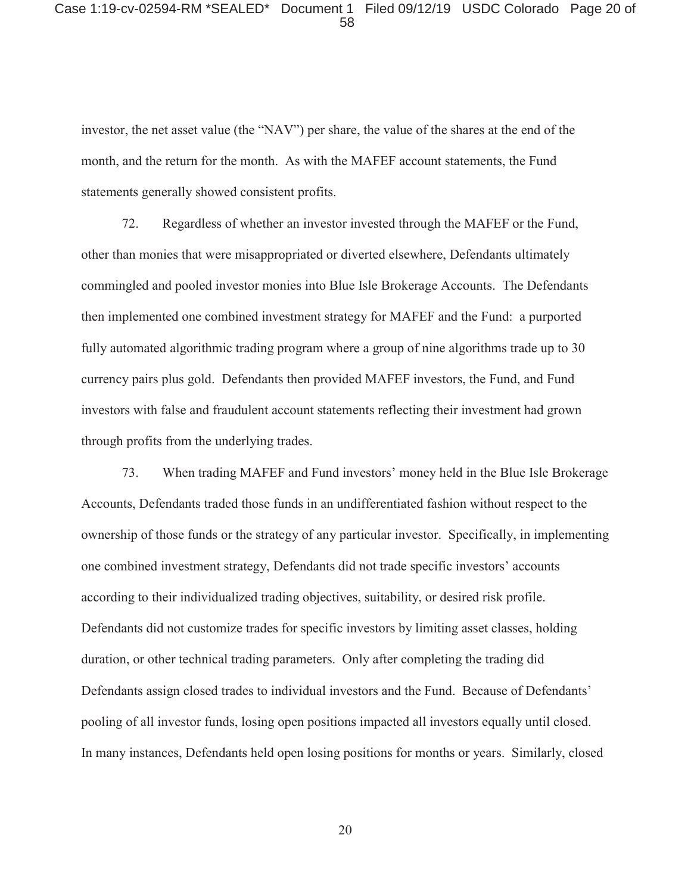investor, the net asset value (the "NAV") per share, the value of the shares at the end of the month, and the return for the month. As with the MAFEF account statements, the Fund statements generally showed consistent profits.

72. Regardless of whether an investor invested through the MAFEF or the Fund, other than monies that were misappropriated or diverted elsewhere, Defendants ultimately commingled and pooled investor monies into Blue Isle Brokerage Accounts. The Defendants then implemented one combined investment strategy for MAFEF and the Fund: a purported fully automated algorithmic trading program where a group of nine algorithms trade up to 30 currency pairs plus gold. Defendants then provided MAFEF investors, the Fund, and Fund investors with false and fraudulent account statements reflecting their investment had grown through profits from the underlying trades.

73. When trading MAFEF and Fund investors' money held in the Blue Isle Brokerage Accounts, Defendants traded those funds in an undifferentiated fashion without respect to the ownership of those funds or the strategy of any particular investor. Specifically, in implementing one combined investment strategy, Defendants did not trade specific investors' accounts according to their individualized trading objectives, suitability, or desired risk profile. Defendants did not customize trades for specific investors by limiting asset classes, holding duration, or other technical trading parameters. Only after completing the trading did Defendants assign closed trades to individual investors and the Fund. Because of Defendants' pooling of all investor funds, losing open positions impacted all investors equally until closed. In many instances, Defendants held open losing positions for months or years. Similarly, closed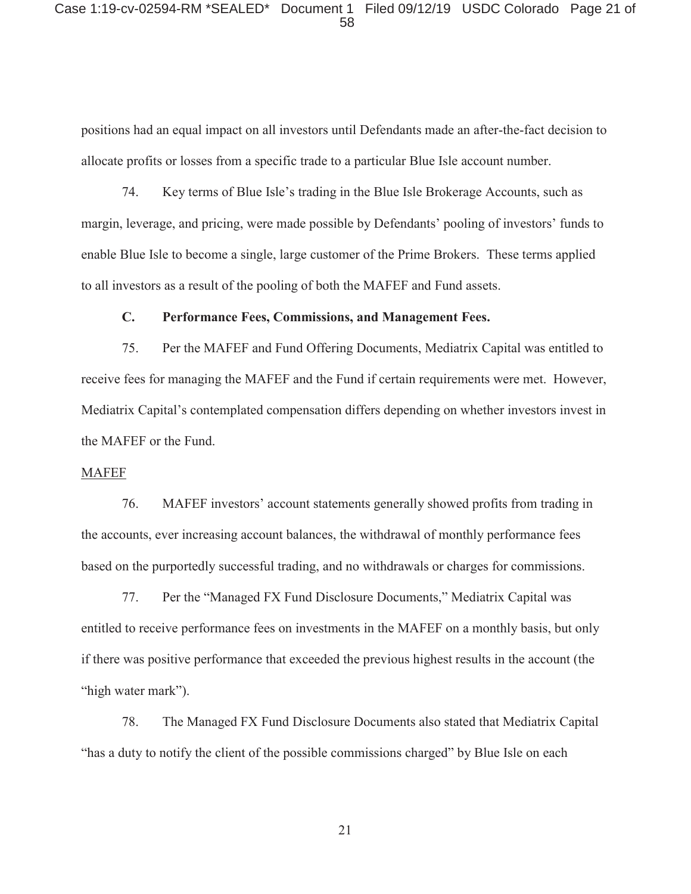#### Case 1:19-cv-02594-RM \*SEALED\* Document 1 Filed 09/12/19 USDC Colorado Page 21 of 58

positions had an equal impact on all investors until Defendants made an after-the-fact decision to allocate profits or losses from a specific trade to a particular Blue Isle account number.

74. Key terms of Blue Isle's trading in the Blue Isle Brokerage Accounts, such as margin, leverage, and pricing, were made possible by Defendants' pooling of investors' funds to enable Blue Isle to become a single, large customer of the Prime Brokers. These terms applied to all investors as a result of the pooling of both the MAFEF and Fund assets.

### **C. Performance Fees, Commissions, and Management Fees.**

75. Per the MAFEF and Fund Offering Documents, Mediatrix Capital was entitled to receive fees for managing the MAFEF and the Fund if certain requirements were met. However, Mediatrix Capital's contemplated compensation differs depending on whether investors invest in the MAFEF or the Fund.

### MAFEF

76. MAFEF investors' account statements generally showed profits from trading in the accounts, ever increasing account balances, the withdrawal of monthly performance fees based on the purportedly successful trading, and no withdrawals or charges for commissions.

77. Per the "Managed FX Fund Disclosure Documents," Mediatrix Capital was entitled to receive performance fees on investments in the MAFEF on a monthly basis, but only if there was positive performance that exceeded the previous highest results in the account (the "high water mark").

78. The Managed FX Fund Disclosure Documents also stated that Mediatrix Capital "has a duty to notify the client of the possible commissions charged" by Blue Isle on each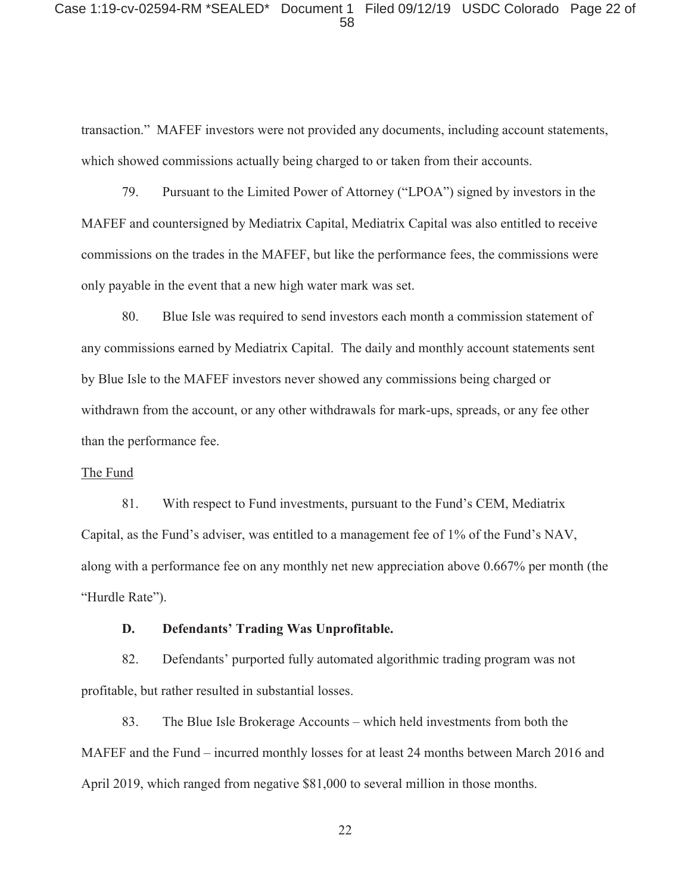#### Case 1:19-cv-02594-RM \*SEALED\* Document 1 Filed 09/12/19 USDC Colorado Page 22 of 58

transaction." MAFEF investors were not provided any documents, including account statements, which showed commissions actually being charged to or taken from their accounts.

79. Pursuant to the Limited Power of Attorney ("LPOA") signed by investors in the MAFEF and countersigned by Mediatrix Capital, Mediatrix Capital was also entitled to receive commissions on the trades in the MAFEF, but like the performance fees, the commissions were only payable in the event that a new high water mark was set.

80. Blue Isle was required to send investors each month a commission statement of any commissions earned by Mediatrix Capital. The daily and monthly account statements sent by Blue Isle to the MAFEF investors never showed any commissions being charged or withdrawn from the account, or any other withdrawals for mark-ups, spreads, or any fee other than the performance fee.

### The Fund

81. With respect to Fund investments, pursuant to the Fund's CEM, Mediatrix Capital, as the Fund's adviser, was entitled to a management fee of 1% of the Fund's NAV, along with a performance fee on any monthly net new appreciation above 0.667% per month (the "Hurdle Rate").

#### **D. Defendants' Trading Was Unprofitable.**

82. Defendants' purported fully automated algorithmic trading program was not profitable, but rather resulted in substantial losses.

83. The Blue Isle Brokerage Accounts – which held investments from both the MAFEF and the Fund – incurred monthly losses for at least 24 months between March 2016 and April 2019, which ranged from negative \$81,000 to several million in those months.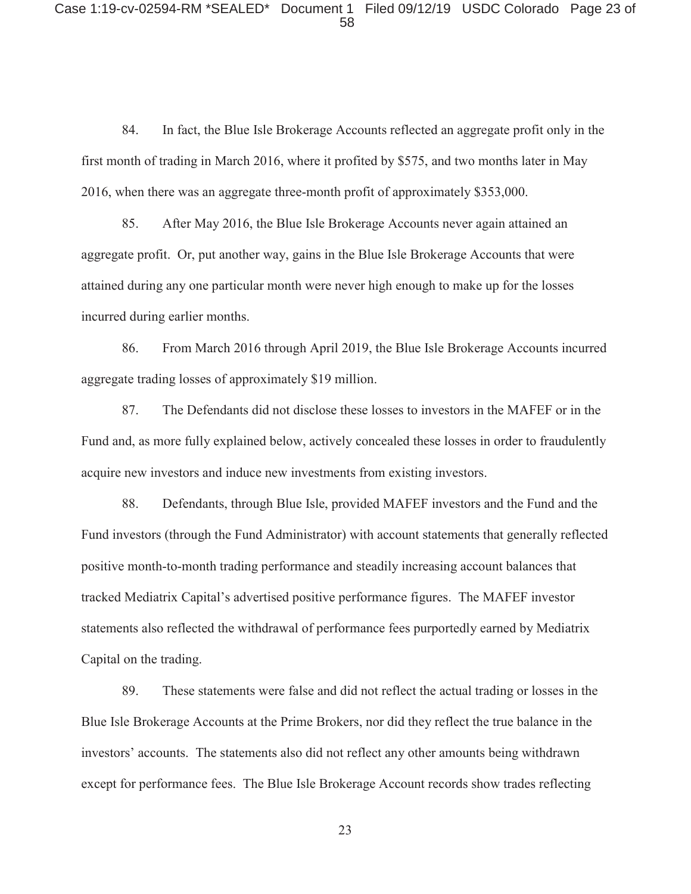84. In fact, the Blue Isle Brokerage Accounts reflected an aggregate profit only in the first month of trading in March 2016, where it profited by \$575, and two months later in May 2016, when there was an aggregate three-month profit of approximately \$353,000.

85. After May 2016, the Blue Isle Brokerage Accounts never again attained an aggregate profit. Or, put another way, gains in the Blue Isle Brokerage Accounts that were attained during any one particular month were never high enough to make up for the losses incurred during earlier months.

86. From March 2016 through April 2019, the Blue Isle Brokerage Accounts incurred aggregate trading losses of approximately \$19 million.

87. The Defendants did not disclose these losses to investors in the MAFEF or in the Fund and, as more fully explained below, actively concealed these losses in order to fraudulently acquire new investors and induce new investments from existing investors.

88. Defendants, through Blue Isle, provided MAFEF investors and the Fund and the Fund investors (through the Fund Administrator) with account statements that generally reflected positive month-to-month trading performance and steadily increasing account balances that tracked Mediatrix Capital's advertised positive performance figures. The MAFEF investor statements also reflected the withdrawal of performance fees purportedly earned by Mediatrix Capital on the trading.

89. These statements were false and did not reflect the actual trading or losses in the Blue Isle Brokerage Accounts at the Prime Brokers, nor did they reflect the true balance in the investors' accounts. The statements also did not reflect any other amounts being withdrawn except for performance fees. The Blue Isle Brokerage Account records show trades reflecting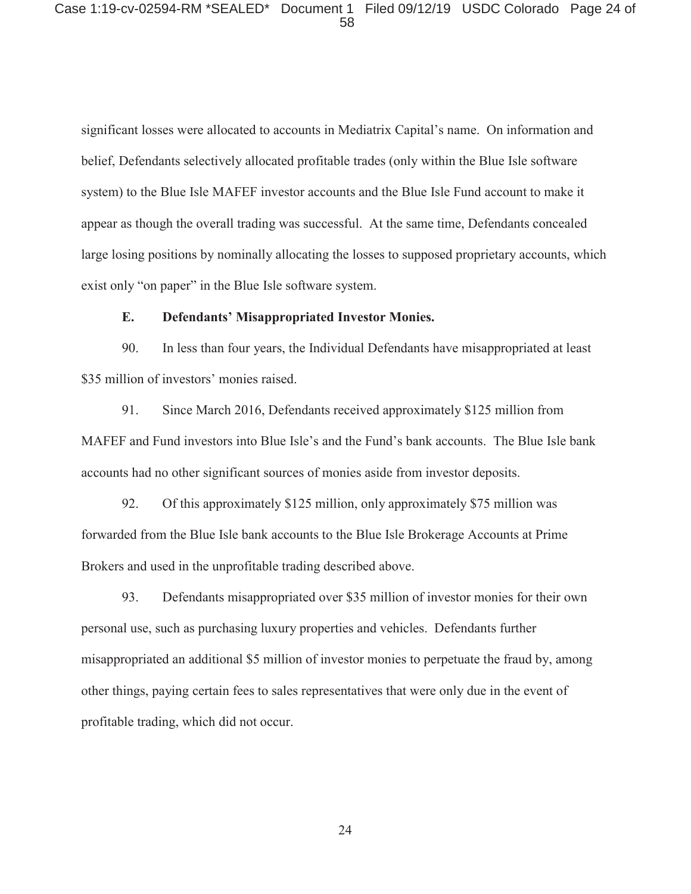significant losses were allocated to accounts in Mediatrix Capital's name. On information and belief, Defendants selectively allocated profitable trades (only within the Blue Isle software system) to the Blue Isle MAFEF investor accounts and the Blue Isle Fund account to make it appear as though the overall trading was successful. At the same time, Defendants concealed large losing positions by nominally allocating the losses to supposed proprietary accounts, which exist only "on paper" in the Blue Isle software system.

### **E. Defendants' Misappropriated Investor Monies.**

90. In less than four years, the Individual Defendants have misappropriated at least \$35 million of investors' monies raised.

91. Since March 2016, Defendants received approximately \$125 million from MAFEF and Fund investors into Blue Isle's and the Fund's bank accounts. The Blue Isle bank accounts had no other significant sources of monies aside from investor deposits.

92. Of this approximately \$125 million, only approximately \$75 million was forwarded from the Blue Isle bank accounts to the Blue Isle Brokerage Accounts at Prime Brokers and used in the unprofitable trading described above.

93. Defendants misappropriated over \$35 million of investor monies for their own personal use, such as purchasing luxury properties and vehicles. Defendants further misappropriated an additional \$5 million of investor monies to perpetuate the fraud by, among other things, paying certain fees to sales representatives that were only due in the event of profitable trading, which did not occur.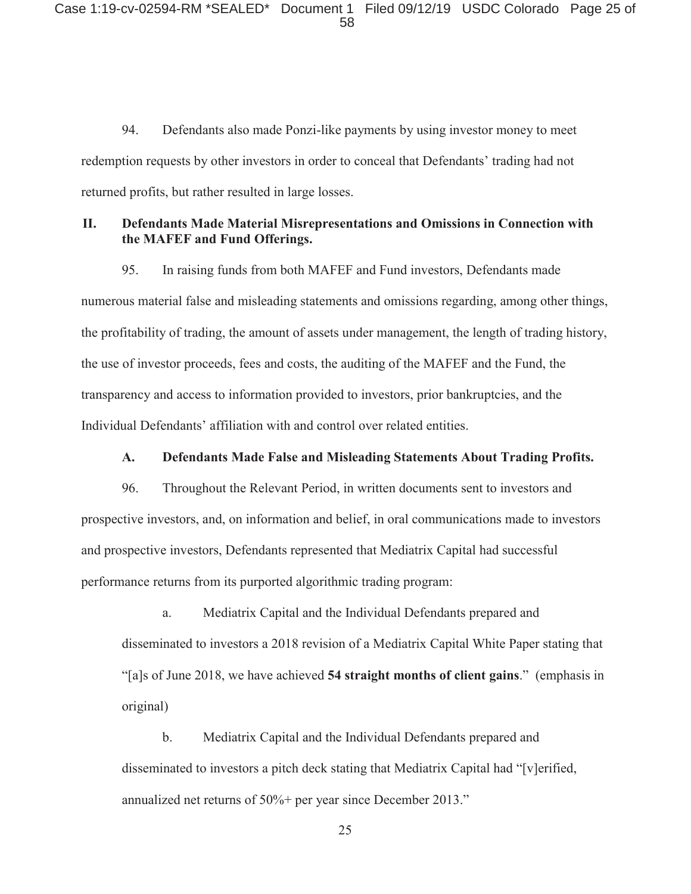94. Defendants also made Ponzi-like payments by using investor money to meet redemption requests by other investors in order to conceal that Defendants' trading had not returned profits, but rather resulted in large losses.

## **II. Defendants Made Material Misrepresentations and Omissions in Connection with the MAFEF and Fund Offerings.**

95. In raising funds from both MAFEF and Fund investors, Defendants made numerous material false and misleading statements and omissions regarding, among other things, the profitability of trading, the amount of assets under management, the length of trading history, the use of investor proceeds, fees and costs, the auditing of the MAFEF and the Fund, the transparency and access to information provided to investors, prior bankruptcies, and the Individual Defendants' affiliation with and control over related entities.

### **A. Defendants Made False and Misleading Statements About Trading Profits.**

96. Throughout the Relevant Period, in written documents sent to investors and prospective investors, and, on information and belief, in oral communications made to investors and prospective investors, Defendants represented that Mediatrix Capital had successful performance returns from its purported algorithmic trading program:

a. Mediatrix Capital and the Individual Defendants prepared and disseminated to investors a 2018 revision of a Mediatrix Capital White Paper stating that "[a]s of June 2018, we have achieved **54 straight months of client gains**." (emphasis in original)

b. Mediatrix Capital and the Individual Defendants prepared and disseminated to investors a pitch deck stating that Mediatrix Capital had "[v]erified, annualized net returns of 50%+ per year since December 2013."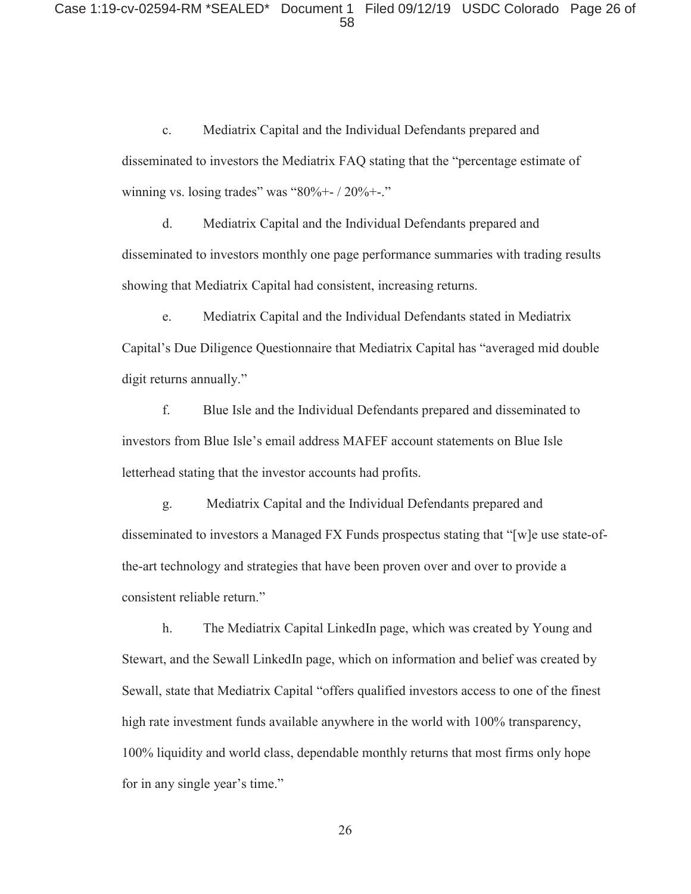c. Mediatrix Capital and the Individual Defendants prepared and disseminated to investors the Mediatrix FAQ stating that the "percentage estimate of winning vs. losing trades" was " $80\% + 720\% +$ ."

d. Mediatrix Capital and the Individual Defendants prepared and disseminated to investors monthly one page performance summaries with trading results showing that Mediatrix Capital had consistent, increasing returns.

e. Mediatrix Capital and the Individual Defendants stated in Mediatrix Capital's Due Diligence Questionnaire that Mediatrix Capital has "averaged mid double digit returns annually."

f. Blue Isle and the Individual Defendants prepared and disseminated to investors from Blue Isle's email address MAFEF account statements on Blue Isle letterhead stating that the investor accounts had profits.

g. Mediatrix Capital and the Individual Defendants prepared and disseminated to investors a Managed FX Funds prospectus stating that "[w]e use state-ofthe-art technology and strategies that have been proven over and over to provide a consistent reliable return."

h. The Mediatrix Capital LinkedIn page, which was created by Young and Stewart, and the Sewall LinkedIn page, which on information and belief was created by Sewall, state that Mediatrix Capital "offers qualified investors access to one of the finest high rate investment funds available anywhere in the world with 100% transparency, 100% liquidity and world class, dependable monthly returns that most firms only hope for in any single year's time."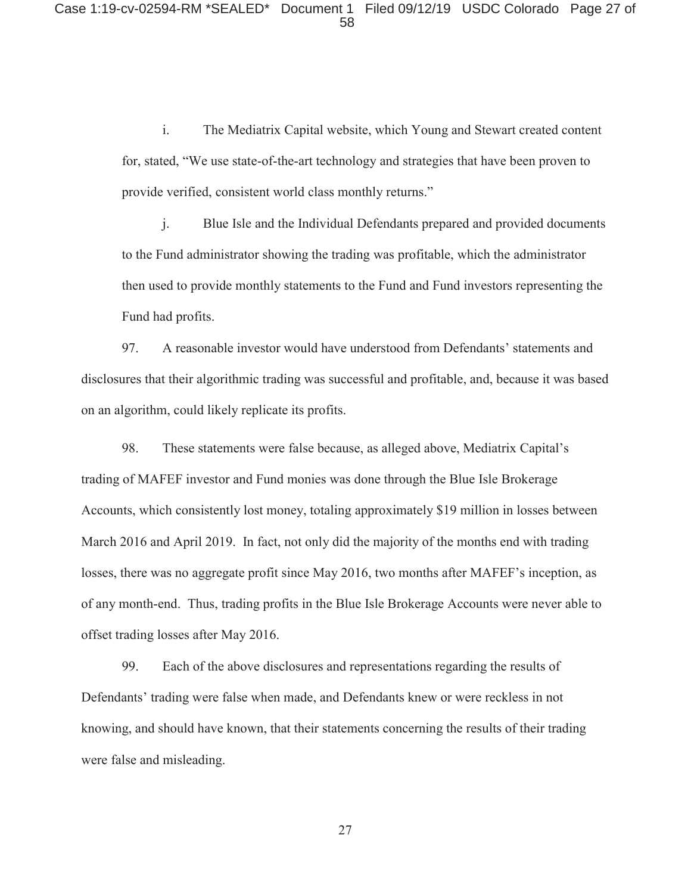i. The Mediatrix Capital website, which Young and Stewart created content for, stated, "We use state-of-the-art technology and strategies that have been proven to provide verified, consistent world class monthly returns."

j. Blue Isle and the Individual Defendants prepared and provided documents to the Fund administrator showing the trading was profitable, which the administrator then used to provide monthly statements to the Fund and Fund investors representing the Fund had profits.

97. A reasonable investor would have understood from Defendants' statements and disclosures that their algorithmic trading was successful and profitable, and, because it was based on an algorithm, could likely replicate its profits.

98. These statements were false because, as alleged above, Mediatrix Capital's trading of MAFEF investor and Fund monies was done through the Blue Isle Brokerage Accounts, which consistently lost money, totaling approximately \$19 million in losses between March 2016 and April 2019. In fact, not only did the majority of the months end with trading losses, there was no aggregate profit since May 2016, two months after MAFEF's inception, as of any month-end. Thus, trading profits in the Blue Isle Brokerage Accounts were never able to offset trading losses after May 2016.

99. Each of the above disclosures and representations regarding the results of Defendants' trading were false when made, and Defendants knew or were reckless in not knowing, and should have known, that their statements concerning the results of their trading were false and misleading.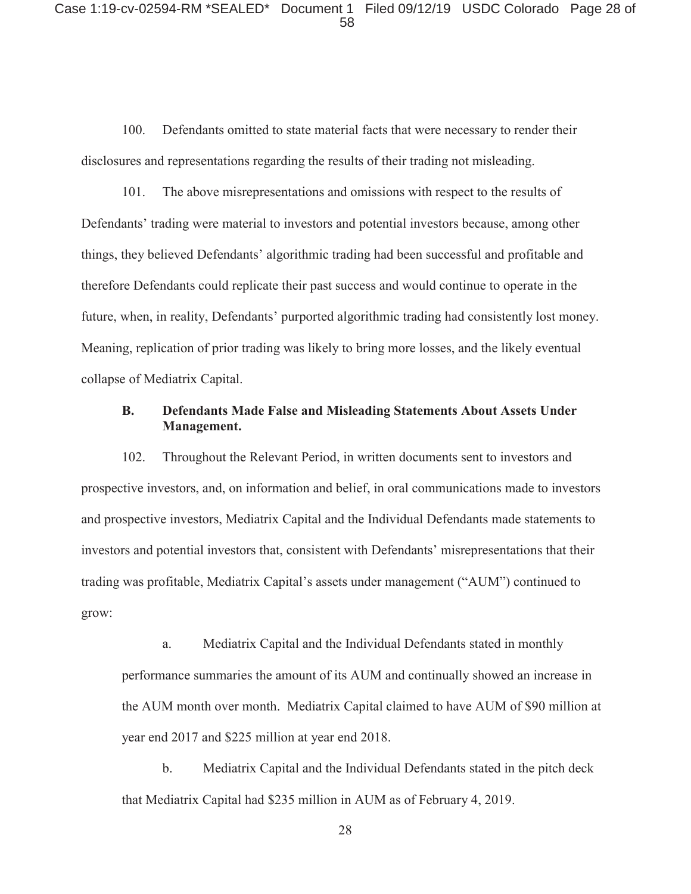#### Case 1:19-cv-02594-RM \*SEALED\* Document 1 Filed 09/12/19 USDC Colorado Page 28 of 58

100. Defendants omitted to state material facts that were necessary to render their disclosures and representations regarding the results of their trading not misleading.

101. The above misrepresentations and omissions with respect to the results of Defendants' trading were material to investors and potential investors because, among other things, they believed Defendants' algorithmic trading had been successful and profitable and therefore Defendants could replicate their past success and would continue to operate in the future, when, in reality, Defendants' purported algorithmic trading had consistently lost money. Meaning, replication of prior trading was likely to bring more losses, and the likely eventual collapse of Mediatrix Capital.

## **B. Defendants Made False and Misleading Statements About Assets Under Management.**

102. Throughout the Relevant Period, in written documents sent to investors and prospective investors, and, on information and belief, in oral communications made to investors and prospective investors, Mediatrix Capital and the Individual Defendants made statements to investors and potential investors that, consistent with Defendants' misrepresentations that their trading was profitable, Mediatrix Capital's assets under management ("AUM") continued to grow:

a. Mediatrix Capital and the Individual Defendants stated in monthly performance summaries the amount of its AUM and continually showed an increase in the AUM month over month. Mediatrix Capital claimed to have AUM of \$90 million at year end 2017 and \$225 million at year end 2018.

b. Mediatrix Capital and the Individual Defendants stated in the pitch deck that Mediatrix Capital had \$235 million in AUM as of February 4, 2019.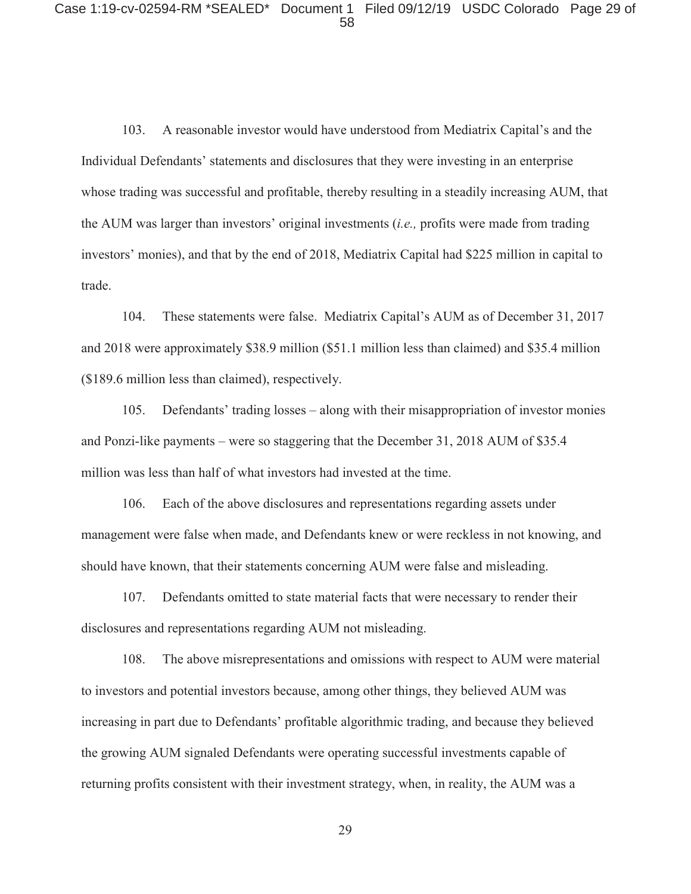#### Case 1:19-cv-02594-RM \*SEALED\* Document 1 Filed 09/12/19 USDC Colorado Page 29 of 58

103. A reasonable investor would have understood from Mediatrix Capital's and the Individual Defendants' statements and disclosures that they were investing in an enterprise whose trading was successful and profitable, thereby resulting in a steadily increasing AUM, that the AUM was larger than investors' original investments (*i.e.,* profits were made from trading investors' monies), and that by the end of 2018, Mediatrix Capital had \$225 million in capital to trade.

104. These statements were false. Mediatrix Capital's AUM as of December 31, 2017 and 2018 were approximately \$38.9 million (\$51.1 million less than claimed) and \$35.4 million (\$189.6 million less than claimed), respectively.

105. Defendants' trading losses – along with their misappropriation of investor monies and Ponzi-like payments – were so staggering that the December 31, 2018 AUM of \$35.4 million was less than half of what investors had invested at the time.

106. Each of the above disclosures and representations regarding assets under management were false when made, and Defendants knew or were reckless in not knowing, and should have known, that their statements concerning AUM were false and misleading.

107. Defendants omitted to state material facts that were necessary to render their disclosures and representations regarding AUM not misleading.

108. The above misrepresentations and omissions with respect to AUM were material to investors and potential investors because, among other things, they believed AUM was increasing in part due to Defendants' profitable algorithmic trading, and because they believed the growing AUM signaled Defendants were operating successful investments capable of returning profits consistent with their investment strategy, when, in reality, the AUM was a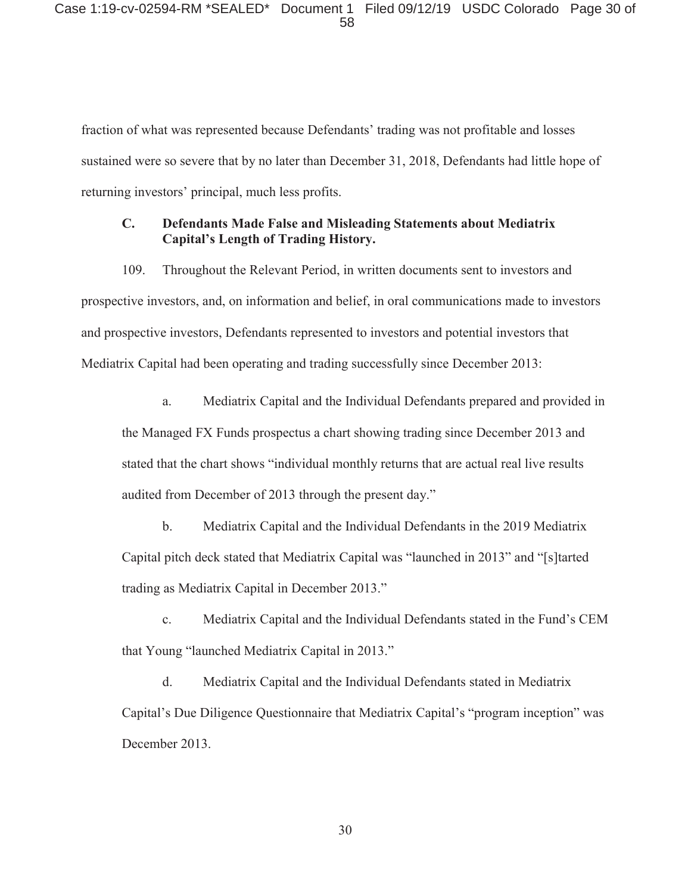fraction of what was represented because Defendants' trading was not profitable and losses sustained were so severe that by no later than December 31, 2018, Defendants had little hope of returning investors' principal, much less profits.

# **C. Defendants Made False and Misleading Statements about Mediatrix Capital's Length of Trading History.**

109. Throughout the Relevant Period, in written documents sent to investors and prospective investors, and, on information and belief, in oral communications made to investors and prospective investors, Defendants represented to investors and potential investors that Mediatrix Capital had been operating and trading successfully since December 2013:

a. Mediatrix Capital and the Individual Defendants prepared and provided in the Managed FX Funds prospectus a chart showing trading since December 2013 and stated that the chart shows "individual monthly returns that are actual real live results audited from December of 2013 through the present day."

b. Mediatrix Capital and the Individual Defendants in the 2019 Mediatrix Capital pitch deck stated that Mediatrix Capital was "launched in 2013" and "[s]tarted trading as Mediatrix Capital in December 2013."

c. Mediatrix Capital and the Individual Defendants stated in the Fund's CEM that Young "launched Mediatrix Capital in 2013."

d. Mediatrix Capital and the Individual Defendants stated in Mediatrix Capital's Due Diligence Questionnaire that Mediatrix Capital's "program inception" was December 2013.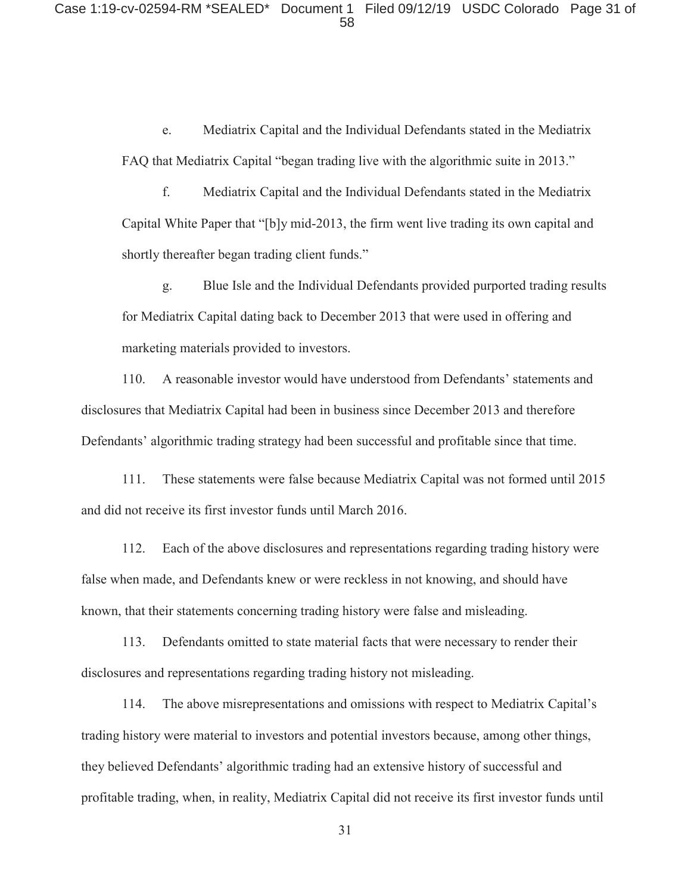e. Mediatrix Capital and the Individual Defendants stated in the Mediatrix FAQ that Mediatrix Capital "began trading live with the algorithmic suite in 2013."

f. Mediatrix Capital and the Individual Defendants stated in the Mediatrix Capital White Paper that "[b]y mid-2013, the firm went live trading its own capital and shortly thereafter began trading client funds."

g. Blue Isle and the Individual Defendants provided purported trading results for Mediatrix Capital dating back to December 2013 that were used in offering and marketing materials provided to investors.

110. A reasonable investor would have understood from Defendants' statements and disclosures that Mediatrix Capital had been in business since December 2013 and therefore Defendants' algorithmic trading strategy had been successful and profitable since that time.

111. These statements were false because Mediatrix Capital was not formed until 2015 and did not receive its first investor funds until March 2016.

112. Each of the above disclosures and representations regarding trading history were false when made, and Defendants knew or were reckless in not knowing, and should have known, that their statements concerning trading history were false and misleading.

113. Defendants omitted to state material facts that were necessary to render their disclosures and representations regarding trading history not misleading.

114. The above misrepresentations and omissions with respect to Mediatrix Capital's trading history were material to investors and potential investors because, among other things, they believed Defendants' algorithmic trading had an extensive history of successful and profitable trading, when, in reality, Mediatrix Capital did not receive its first investor funds until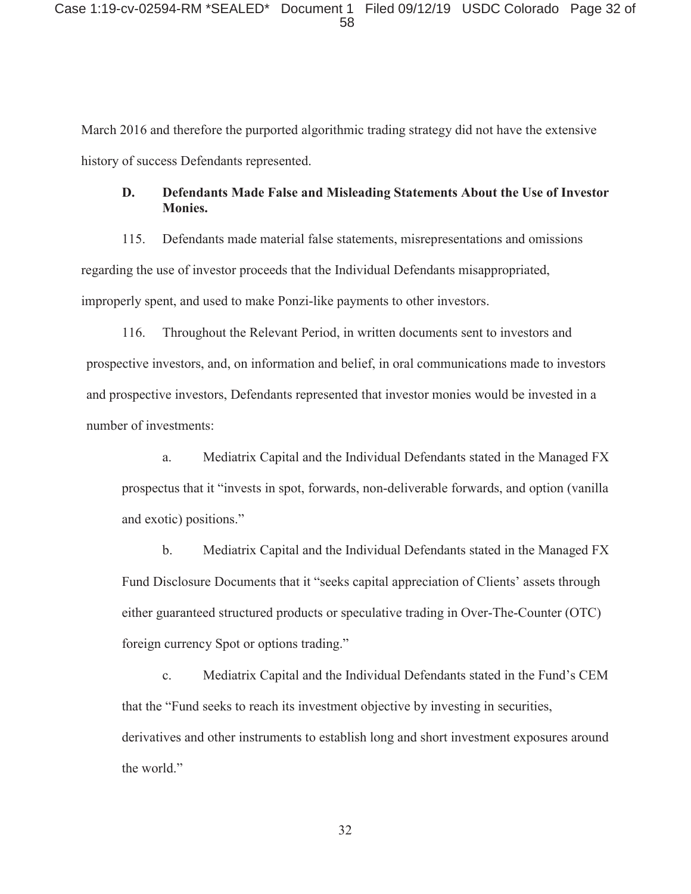Case 1:19-cv-02594-RM \*SEALED\* Document 1 Filed 09/12/19 USDC Colorado Page 32 of 58

March 2016 and therefore the purported algorithmic trading strategy did not have the extensive history of success Defendants represented.

## **D. Defendants Made False and Misleading Statements About the Use of Investor Monies.**

115. Defendants made material false statements, misrepresentations and omissions regarding the use of investor proceeds that the Individual Defendants misappropriated, improperly spent, and used to make Ponzi-like payments to other investors.

116. Throughout the Relevant Period, in written documents sent to investors and prospective investors, and, on information and belief, in oral communications made to investors and prospective investors, Defendants represented that investor monies would be invested in a number of investments:

a. Mediatrix Capital and the Individual Defendants stated in the Managed FX prospectus that it "invests in spot, forwards, non-deliverable forwards, and option (vanilla and exotic) positions."

b. Mediatrix Capital and the Individual Defendants stated in the Managed FX Fund Disclosure Documents that it "seeks capital appreciation of Clients' assets through either guaranteed structured products or speculative trading in Over-The-Counter (OTC) foreign currency Spot or options trading."

c. Mediatrix Capital and the Individual Defendants stated in the Fund's CEM that the "Fund seeks to reach its investment objective by investing in securities, derivatives and other instruments to establish long and short investment exposures around the world."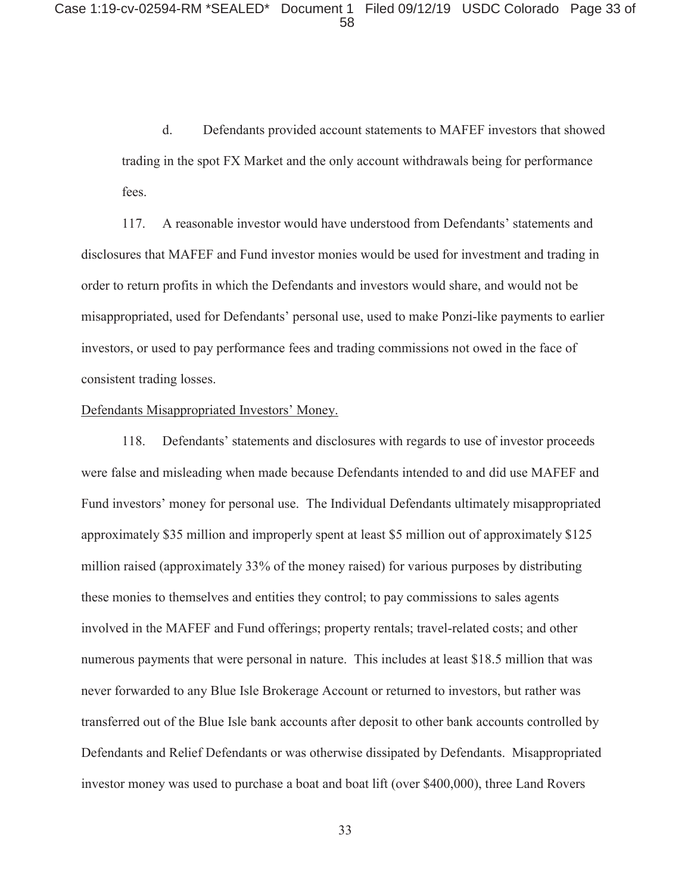d. Defendants provided account statements to MAFEF investors that showed trading in the spot FX Market and the only account withdrawals being for performance fees.

117. A reasonable investor would have understood from Defendants' statements and disclosures that MAFEF and Fund investor monies would be used for investment and trading in order to return profits in which the Defendants and investors would share, and would not be misappropriated, used for Defendants' personal use, used to make Ponzi-like payments to earlier investors, or used to pay performance fees and trading commissions not owed in the face of consistent trading losses.

### Defendants Misappropriated Investors' Money.

118. Defendants' statements and disclosures with regards to use of investor proceeds were false and misleading when made because Defendants intended to and did use MAFEF and Fund investors' money for personal use. The Individual Defendants ultimately misappropriated approximately \$35 million and improperly spent at least \$5 million out of approximately \$125 million raised (approximately 33% of the money raised) for various purposes by distributing these monies to themselves and entities they control; to pay commissions to sales agents involved in the MAFEF and Fund offerings; property rentals; travel-related costs; and other numerous payments that were personal in nature. This includes at least \$18.5 million that was never forwarded to any Blue Isle Brokerage Account or returned to investors, but rather was transferred out of the Blue Isle bank accounts after deposit to other bank accounts controlled by Defendants and Relief Defendants or was otherwise dissipated by Defendants. Misappropriated investor money was used to purchase a boat and boat lift (over \$400,000), three Land Rovers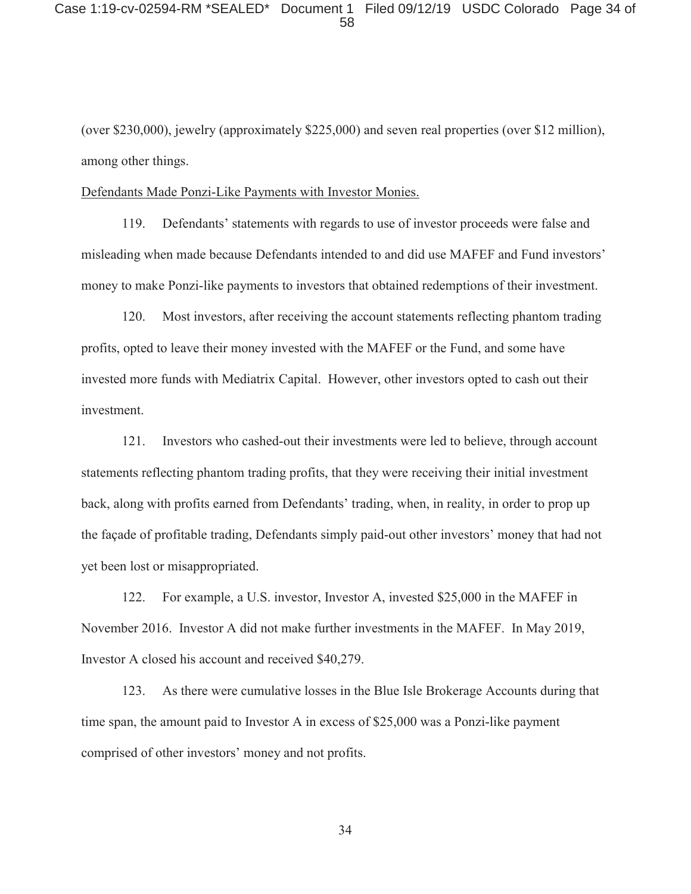(over \$230,000), jewelry (approximately \$225,000) and seven real properties (over \$12 million), among other things.

### Defendants Made Ponzi-Like Payments with Investor Monies.

119. Defendants' statements with regards to use of investor proceeds were false and misleading when made because Defendants intended to and did use MAFEF and Fund investors' money to make Ponzi-like payments to investors that obtained redemptions of their investment.

120. Most investors, after receiving the account statements reflecting phantom trading profits, opted to leave their money invested with the MAFEF or the Fund, and some have invested more funds with Mediatrix Capital. However, other investors opted to cash out their investment.

121. Investors who cashed-out their investments were led to believe, through account statements reflecting phantom trading profits, that they were receiving their initial investment back, along with profits earned from Defendants' trading, when, in reality, in order to prop up the façade of profitable trading, Defendants simply paid-out other investors' money that had not yet been lost or misappropriated.

122. For example, a U.S. investor, Investor A, invested \$25,000 in the MAFEF in November 2016. Investor A did not make further investments in the MAFEF. In May 2019, Investor A closed his account and received \$40,279.

123. As there were cumulative losses in the Blue Isle Brokerage Accounts during that time span, the amount paid to Investor A in excess of \$25,000 was a Ponzi-like payment comprised of other investors' money and not profits.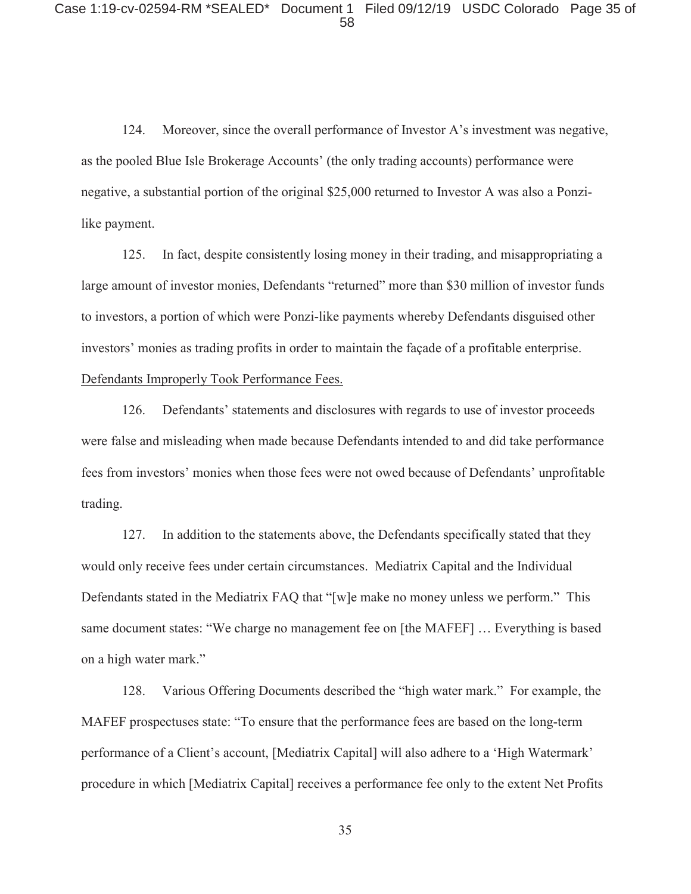124. Moreover, since the overall performance of Investor A's investment was negative, as the pooled Blue Isle Brokerage Accounts' (the only trading accounts) performance were negative, a substantial portion of the original \$25,000 returned to Investor A was also a Ponzilike payment.

125. In fact, despite consistently losing money in their trading, and misappropriating a large amount of investor monies, Defendants "returned" more than \$30 million of investor funds to investors, a portion of which were Ponzi-like payments whereby Defendants disguised other investors' monies as trading profits in order to maintain the façade of a profitable enterprise.

# Defendants Improperly Took Performance Fees.

126. Defendants' statements and disclosures with regards to use of investor proceeds were false and misleading when made because Defendants intended to and did take performance fees from investors' monies when those fees were not owed because of Defendants' unprofitable trading.

127. In addition to the statements above, the Defendants specifically stated that they would only receive fees under certain circumstances. Mediatrix Capital and the Individual Defendants stated in the Mediatrix FAQ that "[w]e make no money unless we perform." This same document states: "We charge no management fee on [the MAFEF] … Everything is based on a high water mark."

128. Various Offering Documents described the "high water mark." For example, the MAFEF prospectuses state: "To ensure that the performance fees are based on the long-term performance of a Client's account, [Mediatrix Capital] will also adhere to a 'High Watermark' procedure in which [Mediatrix Capital] receives a performance fee only to the extent Net Profits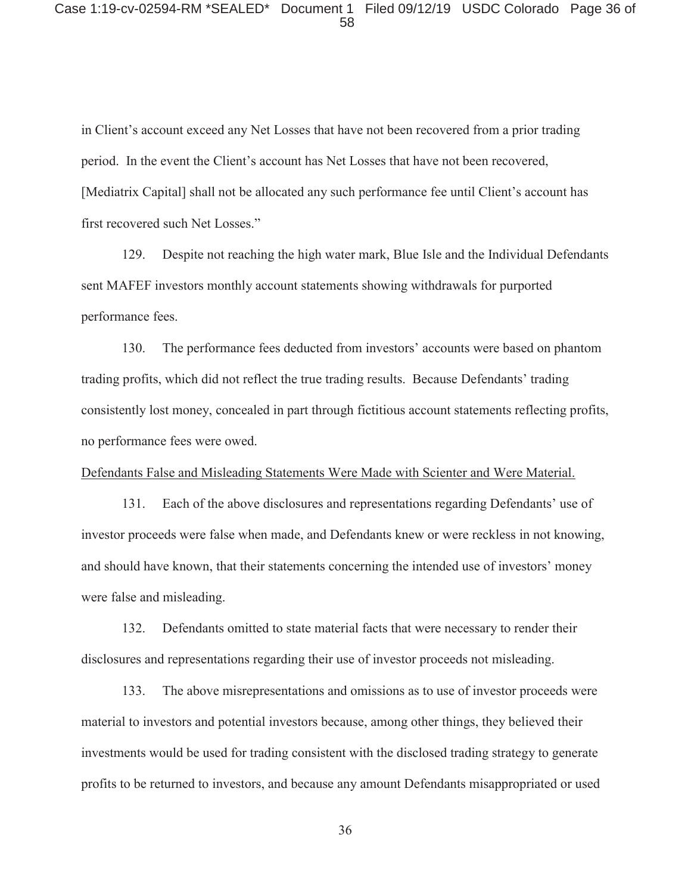in Client's account exceed any Net Losses that have not been recovered from a prior trading period. In the event the Client's account has Net Losses that have not been recovered, [Mediatrix Capital] shall not be allocated any such performance fee until Client's account has first recovered such Net Losses."

129. Despite not reaching the high water mark, Blue Isle and the Individual Defendants sent MAFEF investors monthly account statements showing withdrawals for purported performance fees.

130. The performance fees deducted from investors' accounts were based on phantom trading profits, which did not reflect the true trading results. Because Defendants' trading consistently lost money, concealed in part through fictitious account statements reflecting profits, no performance fees were owed.

### Defendants False and Misleading Statements Were Made with Scienter and Were Material.

131. Each of the above disclosures and representations regarding Defendants' use of investor proceeds were false when made, and Defendants knew or were reckless in not knowing, and should have known, that their statements concerning the intended use of investors' money were false and misleading.

132. Defendants omitted to state material facts that were necessary to render their disclosures and representations regarding their use of investor proceeds not misleading.

133. The above misrepresentations and omissions as to use of investor proceeds were material to investors and potential investors because, among other things, they believed their investments would be used for trading consistent with the disclosed trading strategy to generate profits to be returned to investors, and because any amount Defendants misappropriated or used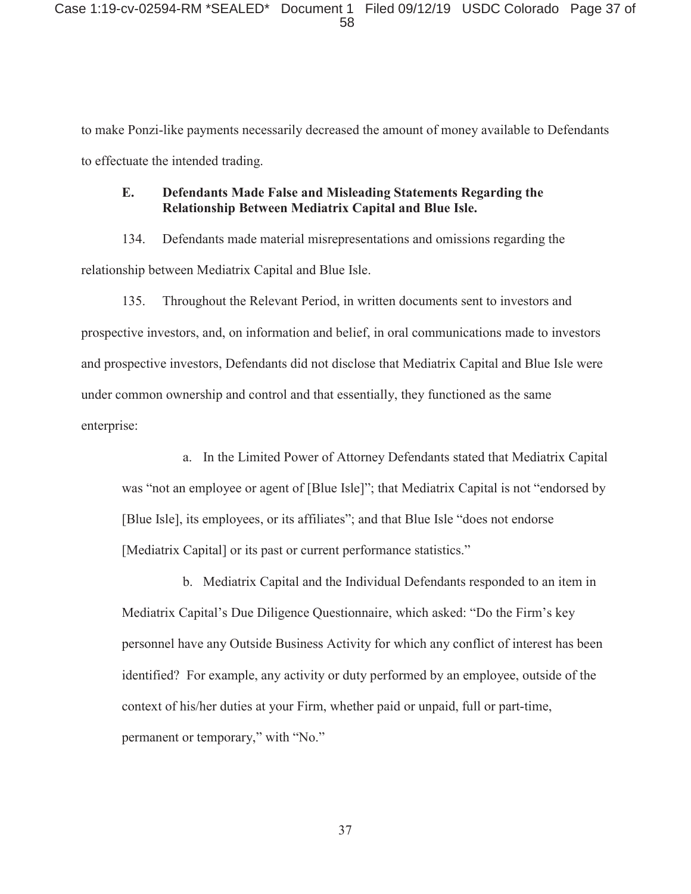to make Ponzi-like payments necessarily decreased the amount of money available to Defendants to effectuate the intended trading.

### **E. Defendants Made False and Misleading Statements Regarding the Relationship Between Mediatrix Capital and Blue Isle.**

134. Defendants made material misrepresentations and omissions regarding the relationship between Mediatrix Capital and Blue Isle.

135. Throughout the Relevant Period, in written documents sent to investors and prospective investors, and, on information and belief, in oral communications made to investors and prospective investors, Defendants did not disclose that Mediatrix Capital and Blue Isle were under common ownership and control and that essentially, they functioned as the same enterprise:

a. In the Limited Power of Attorney Defendants stated that Mediatrix Capital was "not an employee or agent of [Blue Isle]"; that Mediatrix Capital is not "endorsed by [Blue Isle], its employees, or its affiliates"; and that Blue Isle "does not endorse [Mediatrix Capital] or its past or current performance statistics."

b. Mediatrix Capital and the Individual Defendants responded to an item in Mediatrix Capital's Due Diligence Questionnaire, which asked: "Do the Firm's key personnel have any Outside Business Activity for which any conflict of interest has been identified? For example, any activity or duty performed by an employee, outside of the context of his/her duties at your Firm, whether paid or unpaid, full or part-time, permanent or temporary," with "No."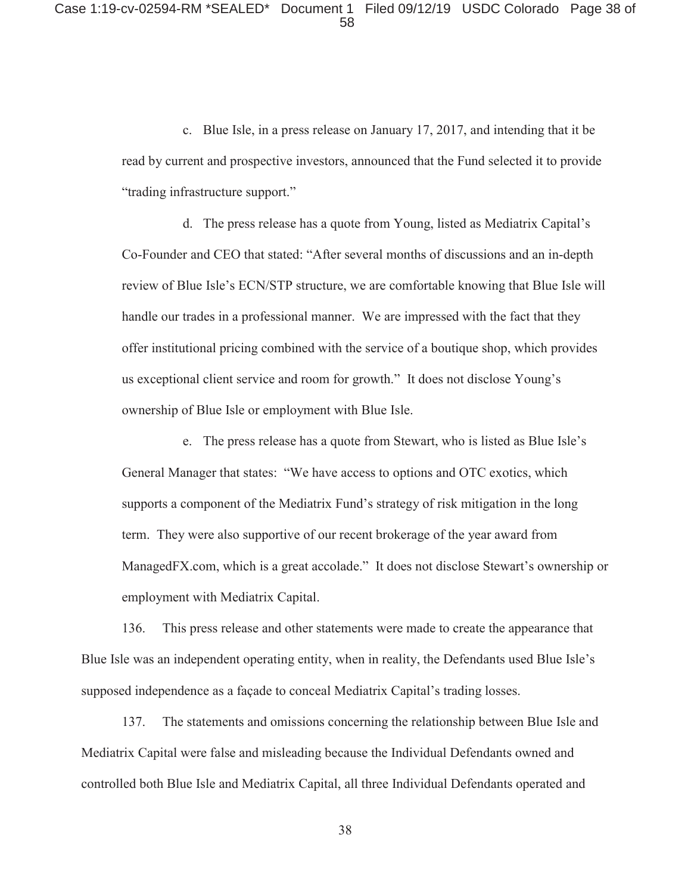c. Blue Isle, in a press release on January 17, 2017, and intending that it be read by current and prospective investors, announced that the Fund selected it to provide "trading infrastructure support."

d. The press release has a quote from Young, listed as Mediatrix Capital's Co-Founder and CEO that stated: "After several months of discussions and an in-depth review of Blue Isle's ECN/STP structure, we are comfortable knowing that Blue Isle will handle our trades in a professional manner. We are impressed with the fact that they offer institutional pricing combined with the service of a boutique shop, which provides us exceptional client service and room for growth." It does not disclose Young's ownership of Blue Isle or employment with Blue Isle.

e. The press release has a quote from Stewart, who is listed as Blue Isle's General Manager that states: "We have access to options and OTC exotics, which supports a component of the Mediatrix Fund's strategy of risk mitigation in the long term. They were also supportive of our recent brokerage of the year award from ManagedFX.com, which is a great accolade." It does not disclose Stewart's ownership or employment with Mediatrix Capital.

136. This press release and other statements were made to create the appearance that Blue Isle was an independent operating entity, when in reality, the Defendants used Blue Isle's supposed independence as a façade to conceal Mediatrix Capital's trading losses.

137. The statements and omissions concerning the relationship between Blue Isle and Mediatrix Capital were false and misleading because the Individual Defendants owned and controlled both Blue Isle and Mediatrix Capital, all three Individual Defendants operated and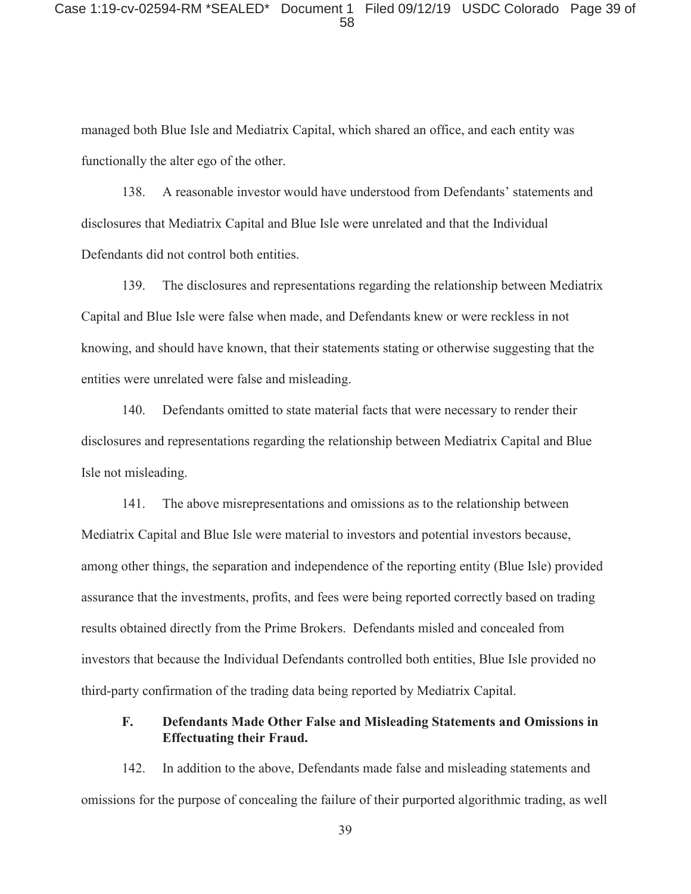#### Case 1:19-cv-02594-RM \*SEALED\* Document 1 Filed 09/12/19 USDC Colorado Page 39 of 58

managed both Blue Isle and Mediatrix Capital, which shared an office, and each entity was functionally the alter ego of the other.

138. A reasonable investor would have understood from Defendants' statements and disclosures that Mediatrix Capital and Blue Isle were unrelated and that the Individual Defendants did not control both entities.

139. The disclosures and representations regarding the relationship between Mediatrix Capital and Blue Isle were false when made, and Defendants knew or were reckless in not knowing, and should have known, that their statements stating or otherwise suggesting that the entities were unrelated were false and misleading.

140. Defendants omitted to state material facts that were necessary to render their disclosures and representations regarding the relationship between Mediatrix Capital and Blue Isle not misleading.

141. The above misrepresentations and omissions as to the relationship between Mediatrix Capital and Blue Isle were material to investors and potential investors because, among other things, the separation and independence of the reporting entity (Blue Isle) provided assurance that the investments, profits, and fees were being reported correctly based on trading results obtained directly from the Prime Brokers. Defendants misled and concealed from investors that because the Individual Defendants controlled both entities, Blue Isle provided no third-party confirmation of the trading data being reported by Mediatrix Capital.

## **F. Defendants Made Other False and Misleading Statements and Omissions in Effectuating their Fraud.**

142. In addition to the above, Defendants made false and misleading statements and omissions for the purpose of concealing the failure of their purported algorithmic trading, as well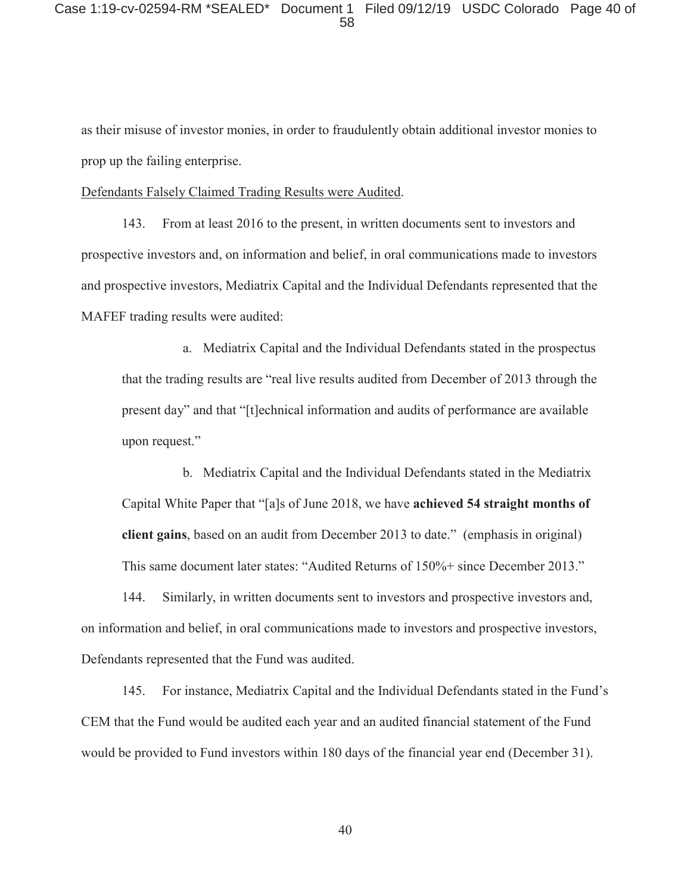as their misuse of investor monies, in order to fraudulently obtain additional investor monies to prop up the failing enterprise.

### Defendants Falsely Claimed Trading Results were Audited.

143. From at least 2016 to the present, in written documents sent to investors and prospective investors and, on information and belief, in oral communications made to investors and prospective investors, Mediatrix Capital and the Individual Defendants represented that the MAFEF trading results were audited:

a. Mediatrix Capital and the Individual Defendants stated in the prospectus that the trading results are "real live results audited from December of 2013 through the present day" and that "[t]echnical information and audits of performance are available upon request."

b. Mediatrix Capital and the Individual Defendants stated in the Mediatrix Capital White Paper that "[a]s of June 2018, we have **achieved 54 straight months of client gains**, based on an audit from December 2013 to date." (emphasis in original) This same document later states: "Audited Returns of 150%+ since December 2013."

144. Similarly, in written documents sent to investors and prospective investors and, on information and belief, in oral communications made to investors and prospective investors, Defendants represented that the Fund was audited.

145. For instance, Mediatrix Capital and the Individual Defendants stated in the Fund's CEM that the Fund would be audited each year and an audited financial statement of the Fund would be provided to Fund investors within 180 days of the financial year end (December 31).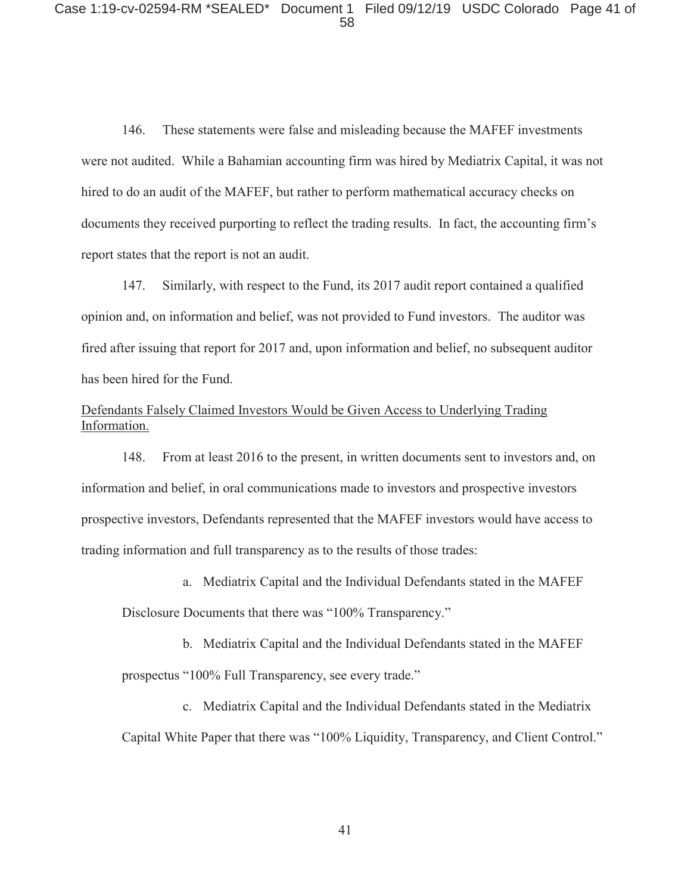146. These statements were false and misleading because the MAFEF investments were not audited. While a Bahamian accounting firm was hired by Mediatrix Capital, it was not hired to do an audit of the MAFEF, but rather to perform mathematical accuracy checks on documents they received purporting to reflect the trading results. In fact, the accounting firm's report states that the report is not an audit.

147. Similarly, with respect to the Fund, its 2017 audit report contained a qualified opinion and, on information and belief, was not provided to Fund investors. The auditor was fired after issuing that report for 2017 and, upon information and belief, no subsequent auditor has been hired for the Fund.

# Defendants Falsely Claimed Investors Would be Given Access to Underlying Trading Information.

148. From at least 2016 to the present, in written documents sent to investors and, on information and belief, in oral communications made to investors and prospective investors prospective investors, Defendants represented that the MAFEF investors would have access to trading information and full transparency as to the results of those trades:

a. Mediatrix Capital and the Individual Defendants stated in the MAFEF

Disclosure Documents that there was "100% Transparency."

b. Mediatrix Capital and the Individual Defendants stated in the MAFEF prospectus "100% Full Transparency, see every trade."

c. Mediatrix Capital and the Individual Defendants stated in the Mediatrix Capital White Paper that there was "100% Liquidity, Transparency, and Client Control."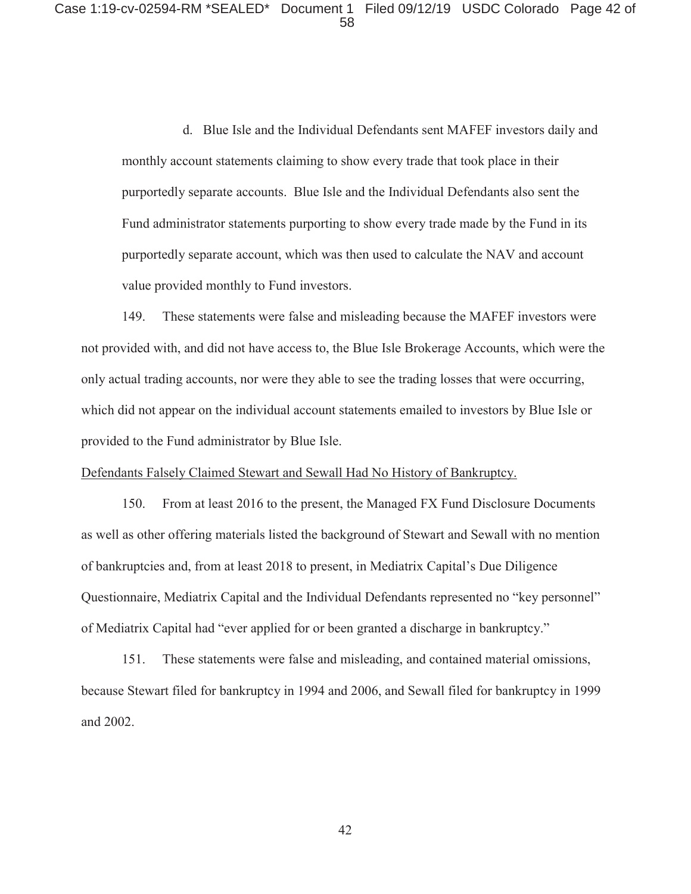d. Blue Isle and the Individual Defendants sent MAFEF investors daily and monthly account statements claiming to show every trade that took place in their purportedly separate accounts. Blue Isle and the Individual Defendants also sent the Fund administrator statements purporting to show every trade made by the Fund in its purportedly separate account, which was then used to calculate the NAV and account value provided monthly to Fund investors.

149. These statements were false and misleading because the MAFEF investors were not provided with, and did not have access to, the Blue Isle Brokerage Accounts, which were the only actual trading accounts, nor were they able to see the trading losses that were occurring, which did not appear on the individual account statements emailed to investors by Blue Isle or provided to the Fund administrator by Blue Isle.

#### Defendants Falsely Claimed Stewart and Sewall Had No History of Bankruptcy.

150. From at least 2016 to the present, the Managed FX Fund Disclosure Documents as well as other offering materials listed the background of Stewart and Sewall with no mention of bankruptcies and, from at least 2018 to present, in Mediatrix Capital's Due Diligence Questionnaire, Mediatrix Capital and the Individual Defendants represented no "key personnel" of Mediatrix Capital had "ever applied for or been granted a discharge in bankruptcy."

151. These statements were false and misleading, and contained material omissions, because Stewart filed for bankruptcy in 1994 and 2006, and Sewall filed for bankruptcy in 1999 and 2002.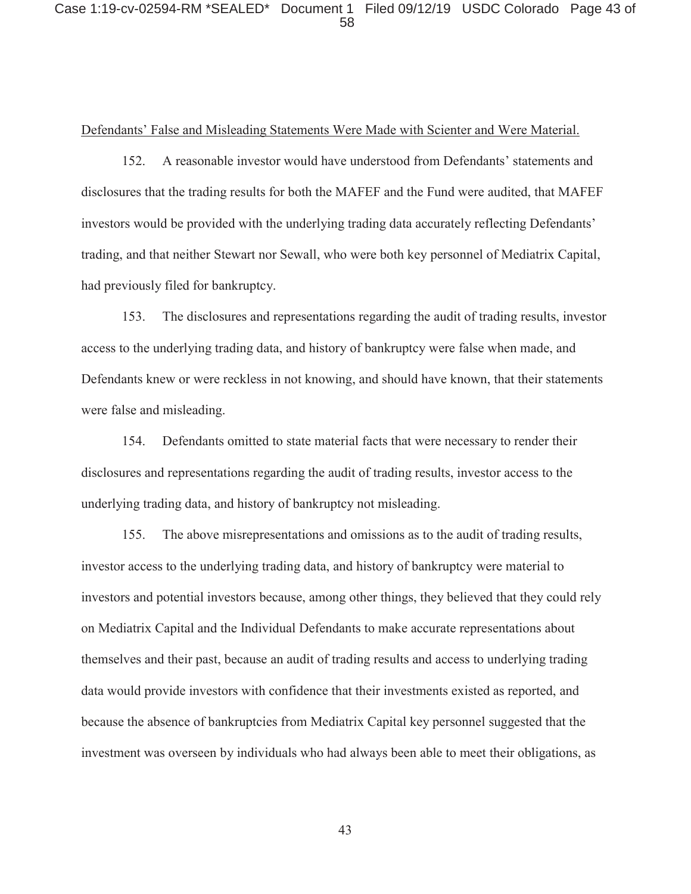## Defendants' False and Misleading Statements Were Made with Scienter and Were Material.

152. A reasonable investor would have understood from Defendants' statements and disclosures that the trading results for both the MAFEF and the Fund were audited, that MAFEF investors would be provided with the underlying trading data accurately reflecting Defendants' trading, and that neither Stewart nor Sewall, who were both key personnel of Mediatrix Capital, had previously filed for bankruptcy.

153. The disclosures and representations regarding the audit of trading results, investor access to the underlying trading data, and history of bankruptcy were false when made, and Defendants knew or were reckless in not knowing, and should have known, that their statements were false and misleading.

154. Defendants omitted to state material facts that were necessary to render their disclosures and representations regarding the audit of trading results, investor access to the underlying trading data, and history of bankruptcy not misleading.

155. The above misrepresentations and omissions as to the audit of trading results, investor access to the underlying trading data, and history of bankruptcy were material to investors and potential investors because, among other things, they believed that they could rely on Mediatrix Capital and the Individual Defendants to make accurate representations about themselves and their past, because an audit of trading results and access to underlying trading data would provide investors with confidence that their investments existed as reported, and because the absence of bankruptcies from Mediatrix Capital key personnel suggested that the investment was overseen by individuals who had always been able to meet their obligations, as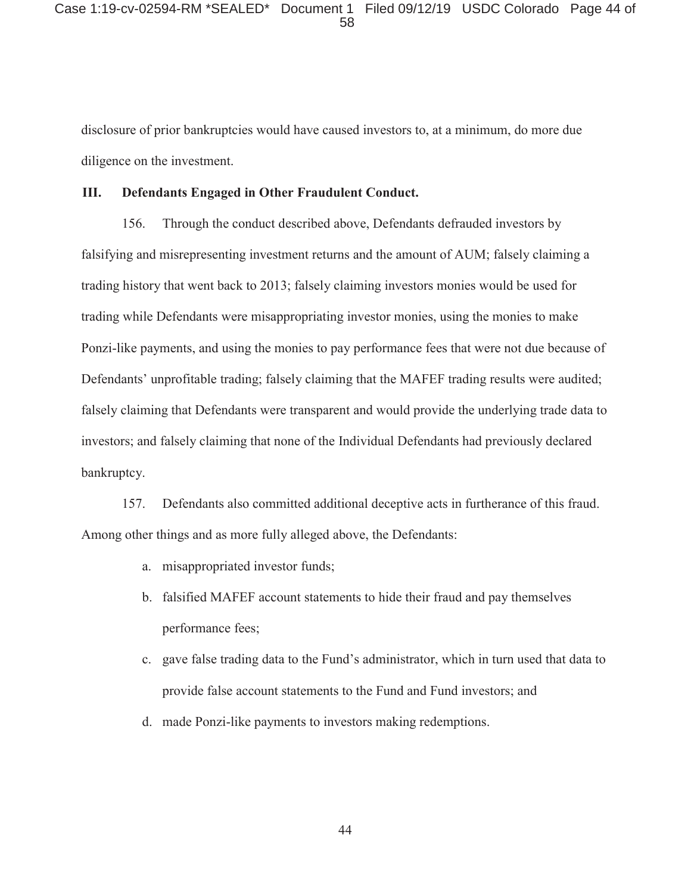disclosure of prior bankruptcies would have caused investors to, at a minimum, do more due diligence on the investment.

### **III. Defendants Engaged in Other Fraudulent Conduct.**

156. Through the conduct described above, Defendants defrauded investors by falsifying and misrepresenting investment returns and the amount of AUM; falsely claiming a trading history that went back to 2013; falsely claiming investors monies would be used for trading while Defendants were misappropriating investor monies, using the monies to make Ponzi-like payments, and using the monies to pay performance fees that were not due because of Defendants' unprofitable trading; falsely claiming that the MAFEF trading results were audited; falsely claiming that Defendants were transparent and would provide the underlying trade data to investors; and falsely claiming that none of the Individual Defendants had previously declared bankruptcy.

157. Defendants also committed additional deceptive acts in furtherance of this fraud. Among other things and as more fully alleged above, the Defendants:

- a. misappropriated investor funds;
- b. falsified MAFEF account statements to hide their fraud and pay themselves performance fees;
- c. gave false trading data to the Fund's administrator, which in turn used that data to provide false account statements to the Fund and Fund investors; and
- d. made Ponzi-like payments to investors making redemptions.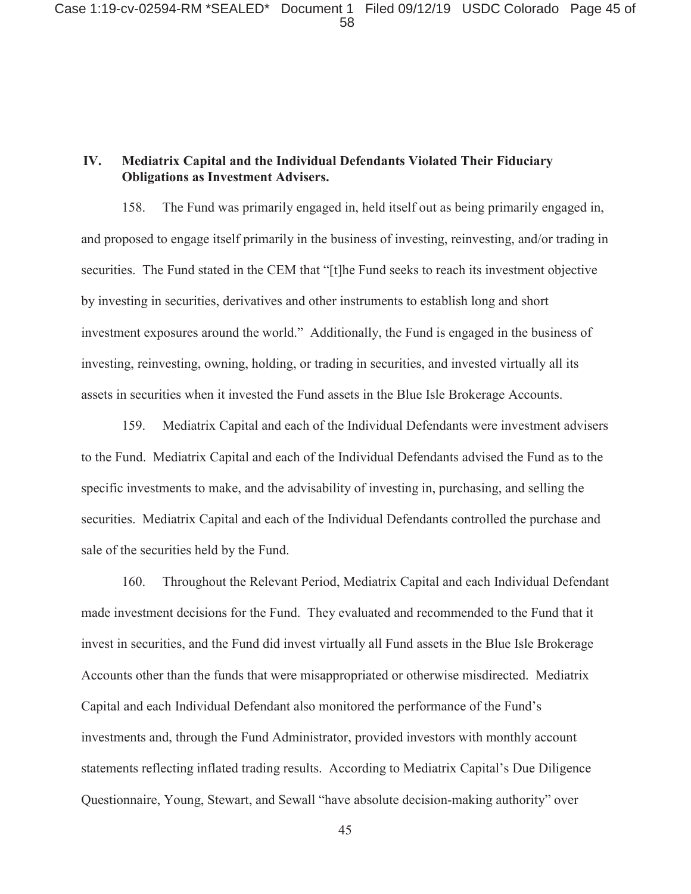Case 1:19-cv-02594-RM \*SEALED\* Document 1 Filed 09/12/19 USDC Colorado Page 45 of 58

### **IV. Mediatrix Capital and the Individual Defendants Violated Their Fiduciary Obligations as Investment Advisers.**

158. The Fund was primarily engaged in, held itself out as being primarily engaged in, and proposed to engage itself primarily in the business of investing, reinvesting, and/or trading in securities. The Fund stated in the CEM that "[t]he Fund seeks to reach its investment objective by investing in securities, derivatives and other instruments to establish long and short investment exposures around the world." Additionally, the Fund is engaged in the business of investing, reinvesting, owning, holding, or trading in securities, and invested virtually all its assets in securities when it invested the Fund assets in the Blue Isle Brokerage Accounts.

159. Mediatrix Capital and each of the Individual Defendants were investment advisers to the Fund. Mediatrix Capital and each of the Individual Defendants advised the Fund as to the specific investments to make, and the advisability of investing in, purchasing, and selling the securities. Mediatrix Capital and each of the Individual Defendants controlled the purchase and sale of the securities held by the Fund.

160. Throughout the Relevant Period, Mediatrix Capital and each Individual Defendant made investment decisions for the Fund. They evaluated and recommended to the Fund that it invest in securities, and the Fund did invest virtually all Fund assets in the Blue Isle Brokerage Accounts other than the funds that were misappropriated or otherwise misdirected. Mediatrix Capital and each Individual Defendant also monitored the performance of the Fund's investments and, through the Fund Administrator, provided investors with monthly account statements reflecting inflated trading results. According to Mediatrix Capital's Due Diligence Questionnaire, Young, Stewart, and Sewall "have absolute decision-making authority" over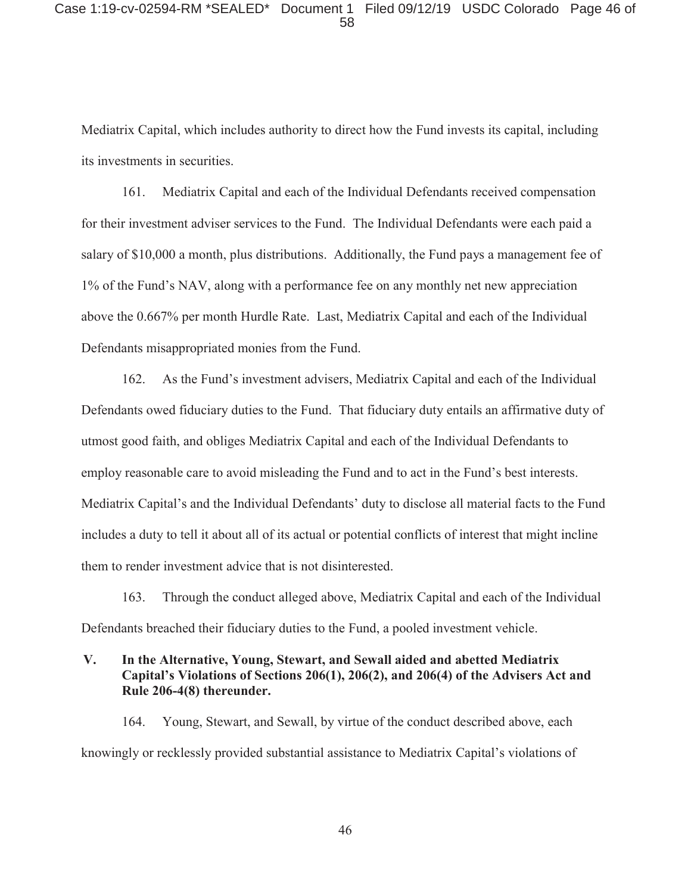Mediatrix Capital, which includes authority to direct how the Fund invests its capital, including its investments in securities.

161. Mediatrix Capital and each of the Individual Defendants received compensation for their investment adviser services to the Fund. The Individual Defendants were each paid a salary of \$10,000 a month, plus distributions. Additionally, the Fund pays a management fee of 1% of the Fund's NAV, along with a performance fee on any monthly net new appreciation above the 0.667% per month Hurdle Rate. Last, Mediatrix Capital and each of the Individual Defendants misappropriated monies from the Fund.

162. As the Fund's investment advisers, Mediatrix Capital and each of the Individual Defendants owed fiduciary duties to the Fund. That fiduciary duty entails an affirmative duty of utmost good faith, and obliges Mediatrix Capital and each of the Individual Defendants to employ reasonable care to avoid misleading the Fund and to act in the Fund's best interests. Mediatrix Capital's and the Individual Defendants' duty to disclose all material facts to the Fund includes a duty to tell it about all of its actual or potential conflicts of interest that might incline them to render investment advice that is not disinterested.

163. Through the conduct alleged above, Mediatrix Capital and each of the Individual Defendants breached their fiduciary duties to the Fund, a pooled investment vehicle.

# **V. In the Alternative, Young, Stewart, and Sewall aided and abetted Mediatrix Capital's Violations of Sections 206(1), 206(2), and 206(4) of the Advisers Act and Rule 206-4(8) thereunder.**

164. Young, Stewart, and Sewall, by virtue of the conduct described above, each knowingly or recklessly provided substantial assistance to Mediatrix Capital's violations of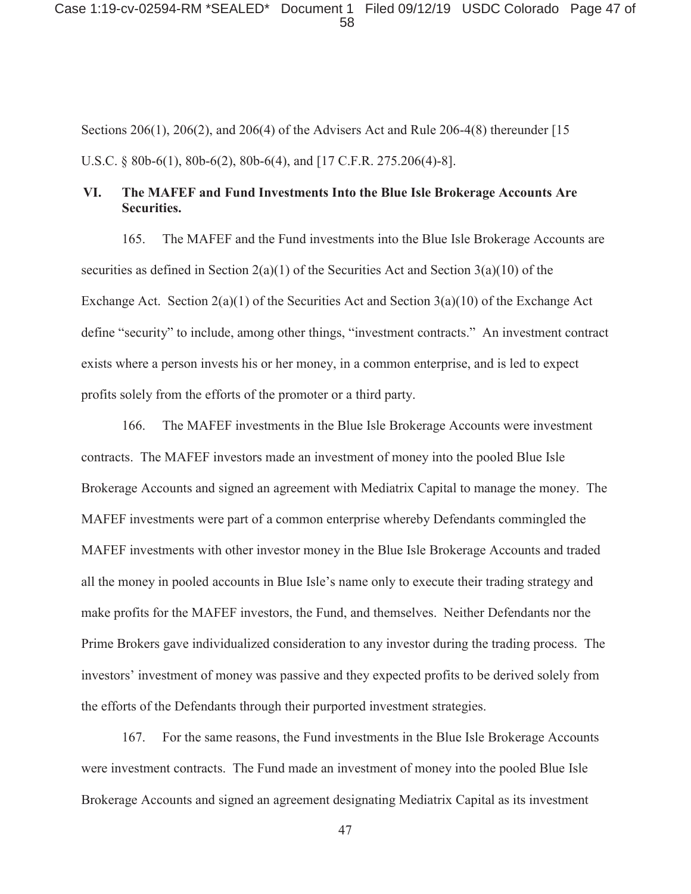Case 1:19-cv-02594-RM \*SEALED\* Document 1 Filed 09/12/19 USDC Colorado Page 47 of 58

Sections 206(1), 206(2), and 206(4) of the Advisers Act and Rule 206-4(8) thereunder [15 U.S.C. § 80b-6(1), 80b-6(2), 80b-6(4), and [17 C.F.R. 275.206(4)-8].

## **VI. The MAFEF and Fund Investments Into the Blue Isle Brokerage Accounts Are Securities.**

165. The MAFEF and the Fund investments into the Blue Isle Brokerage Accounts are securities as defined in Section  $2(a)(1)$  of the Securities Act and Section  $3(a)(10)$  of the Exchange Act. Section  $2(a)(1)$  of the Securities Act and Section  $3(a)(10)$  of the Exchange Act define "security" to include, among other things, "investment contracts." An investment contract exists where a person invests his or her money, in a common enterprise, and is led to expect profits solely from the efforts of the promoter or a third party.

166. The MAFEF investments in the Blue Isle Brokerage Accounts were investment contracts. The MAFEF investors made an investment of money into the pooled Blue Isle Brokerage Accounts and signed an agreement with Mediatrix Capital to manage the money. The MAFEF investments were part of a common enterprise whereby Defendants commingled the MAFEF investments with other investor money in the Blue Isle Brokerage Accounts and traded all the money in pooled accounts in Blue Isle's name only to execute their trading strategy and make profits for the MAFEF investors, the Fund, and themselves. Neither Defendants nor the Prime Brokers gave individualized consideration to any investor during the trading process. The investors' investment of money was passive and they expected profits to be derived solely from the efforts of the Defendants through their purported investment strategies.

167. For the same reasons, the Fund investments in the Blue Isle Brokerage Accounts were investment contracts. The Fund made an investment of money into the pooled Blue Isle Brokerage Accounts and signed an agreement designating Mediatrix Capital as its investment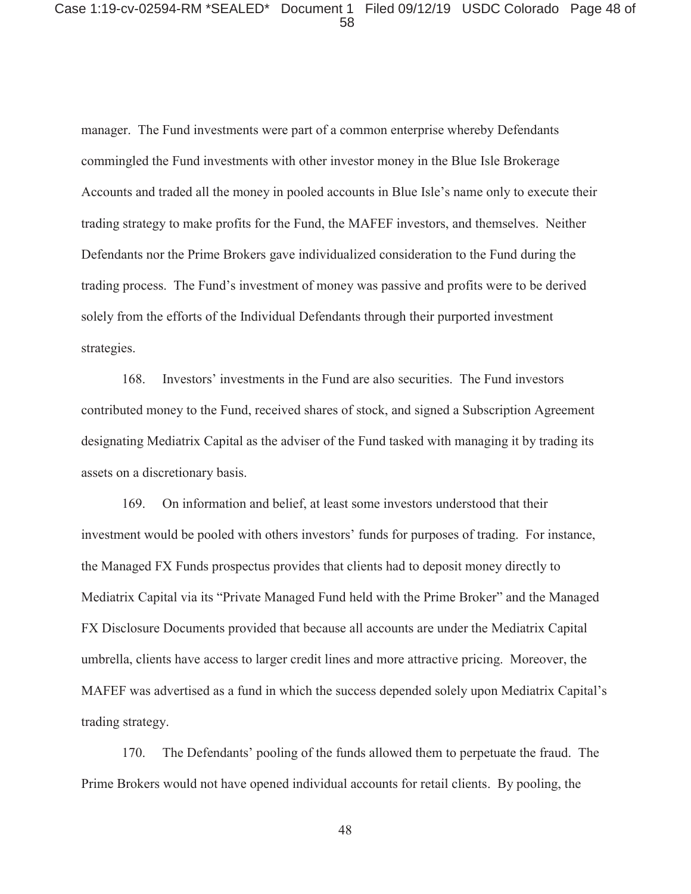manager. The Fund investments were part of a common enterprise whereby Defendants commingled the Fund investments with other investor money in the Blue Isle Brokerage Accounts and traded all the money in pooled accounts in Blue Isle's name only to execute their trading strategy to make profits for the Fund, the MAFEF investors, and themselves. Neither Defendants nor the Prime Brokers gave individualized consideration to the Fund during the trading process. The Fund's investment of money was passive and profits were to be derived solely from the efforts of the Individual Defendants through their purported investment strategies.

168. Investors' investments in the Fund are also securities. The Fund investors contributed money to the Fund, received shares of stock, and signed a Subscription Agreement designating Mediatrix Capital as the adviser of the Fund tasked with managing it by trading its assets on a discretionary basis.

169. On information and belief, at least some investors understood that their investment would be pooled with others investors' funds for purposes of trading. For instance, the Managed FX Funds prospectus provides that clients had to deposit money directly to Mediatrix Capital via its "Private Managed Fund held with the Prime Broker" and the Managed FX Disclosure Documents provided that because all accounts are under the Mediatrix Capital umbrella, clients have access to larger credit lines and more attractive pricing. Moreover, the MAFEF was advertised as a fund in which the success depended solely upon Mediatrix Capital's trading strategy.

170. The Defendants' pooling of the funds allowed them to perpetuate the fraud. The Prime Brokers would not have opened individual accounts for retail clients. By pooling, the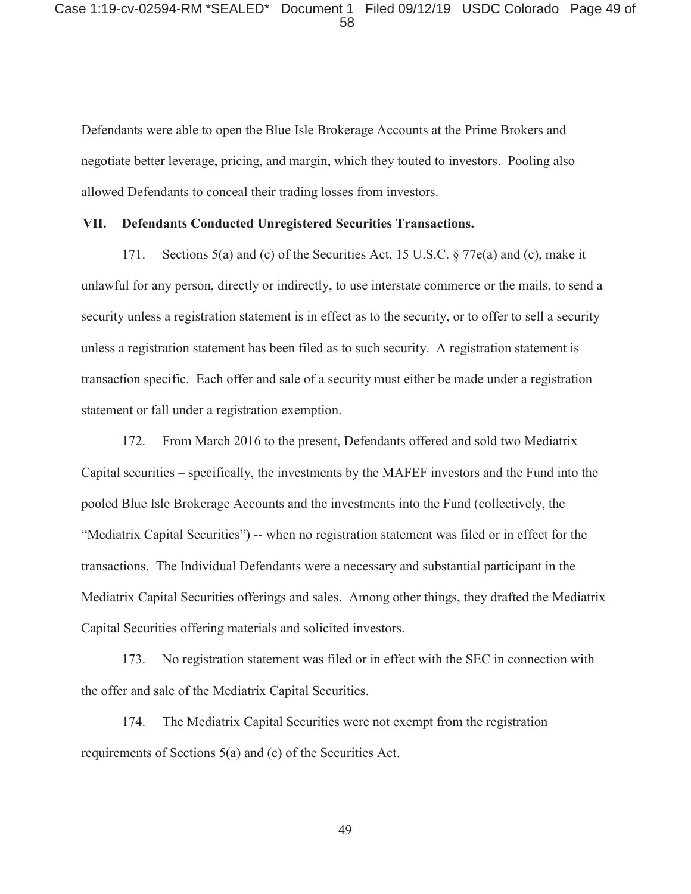Defendants were able to open the Blue Isle Brokerage Accounts at the Prime Brokers and negotiate better leverage, pricing, and margin, which they touted to investors. Pooling also allowed Defendants to conceal their trading losses from investors.

#### **VII. Defendants Conducted Unregistered Securities Transactions.**

171. Sections 5(a) and (c) of the Securities Act, 15 U.S.C. § 77e(a) and (c), make it unlawful for any person, directly or indirectly, to use interstate commerce or the mails, to send a security unless a registration statement is in effect as to the security, or to offer to sell a security unless a registration statement has been filed as to such security. A registration statement is transaction specific. Each offer and sale of a security must either be made under a registration statement or fall under a registration exemption.

172. From March 2016 to the present, Defendants offered and sold two Mediatrix Capital securities – specifically, the investments by the MAFEF investors and the Fund into the pooled Blue Isle Brokerage Accounts and the investments into the Fund (collectively, the "Mediatrix Capital Securities") -- when no registration statement was filed or in effect for the transactions. The Individual Defendants were a necessary and substantial participant in the Mediatrix Capital Securities offerings and sales. Among other things, they drafted the Mediatrix Capital Securities offering materials and solicited investors.

173. No registration statement was filed or in effect with the SEC in connection with the offer and sale of the Mediatrix Capital Securities.

174. The Mediatrix Capital Securities were not exempt from the registration requirements of Sections 5(a) and (c) of the Securities Act.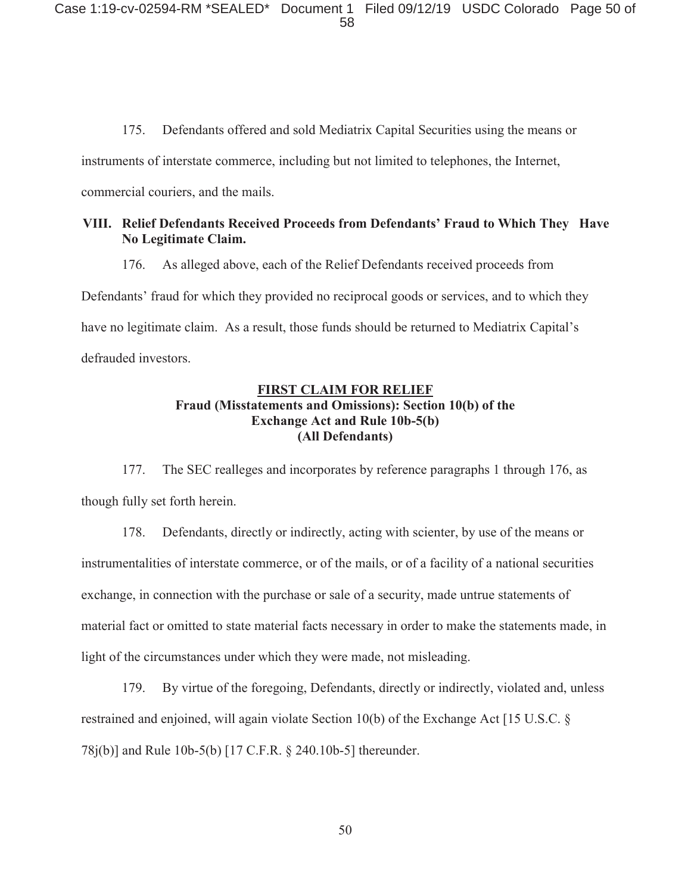175. Defendants offered and sold Mediatrix Capital Securities using the means or

instruments of interstate commerce, including but not limited to telephones, the Internet,

commercial couriers, and the mails.

## **VIII. Relief Defendants Received Proceeds from Defendants' Fraud to Which They Have No Legitimate Claim.**

176. As alleged above, each of the Relief Defendants received proceeds from Defendants' fraud for which they provided no reciprocal goods or services, and to which they have no legitimate claim. As a result, those funds should be returned to Mediatrix Capital's defrauded investors.

## **FIRST CLAIM FOR RELIEF Fraud (Misstatements and Omissions): Section 10(b) of the Exchange Act and Rule 10b-5(b) (All Defendants)**

177. The SEC realleges and incorporates by reference paragraphs 1 through 176, as though fully set forth herein.

178. Defendants, directly or indirectly, acting with scienter, by use of the means or instrumentalities of interstate commerce, or of the mails, or of a facility of a national securities exchange, in connection with the purchase or sale of a security, made untrue statements of material fact or omitted to state material facts necessary in order to make the statements made, in light of the circumstances under which they were made, not misleading.

179. By virtue of the foregoing, Defendants, directly or indirectly, violated and, unless restrained and enjoined, will again violate Section 10(b) of the Exchange Act [15 U.S.C. § 78j(b)] and Rule 10b-5(b) [17 C.F.R. § 240.10b-5] thereunder.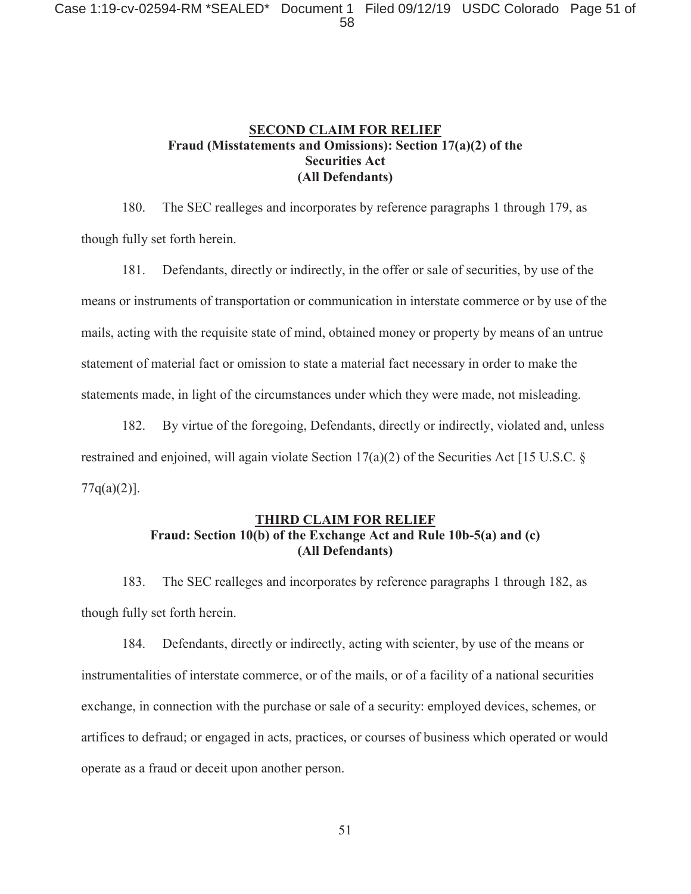## **SECOND CLAIM FOR RELIEF Fraud (Misstatements and Omissions): Section 17(a)(2) of the Securities Act (All Defendants)**

180. The SEC realleges and incorporates by reference paragraphs 1 through 179, as though fully set forth herein.

181. Defendants, directly or indirectly, in the offer or sale of securities, by use of the means or instruments of transportation or communication in interstate commerce or by use of the mails, acting with the requisite state of mind, obtained money or property by means of an untrue statement of material fact or omission to state a material fact necessary in order to make the statements made, in light of the circumstances under which they were made, not misleading.

182. By virtue of the foregoing, Defendants, directly or indirectly, violated and, unless restrained and enjoined, will again violate Section 17(a)(2) of the Securities Act [15 U.S.C. §  $77q(a)(2)$ ].

## **THIRD CLAIM FOR RELIEF Fraud: Section 10(b) of the Exchange Act and Rule 10b-5(a) and (c) (All Defendants)**

183. The SEC realleges and incorporates by reference paragraphs 1 through 182, as though fully set forth herein.

184. Defendants, directly or indirectly, acting with scienter, by use of the means or instrumentalities of interstate commerce, or of the mails, or of a facility of a national securities exchange, in connection with the purchase or sale of a security: employed devices, schemes, or artifices to defraud; or engaged in acts, practices, or courses of business which operated or would operate as a fraud or deceit upon another person.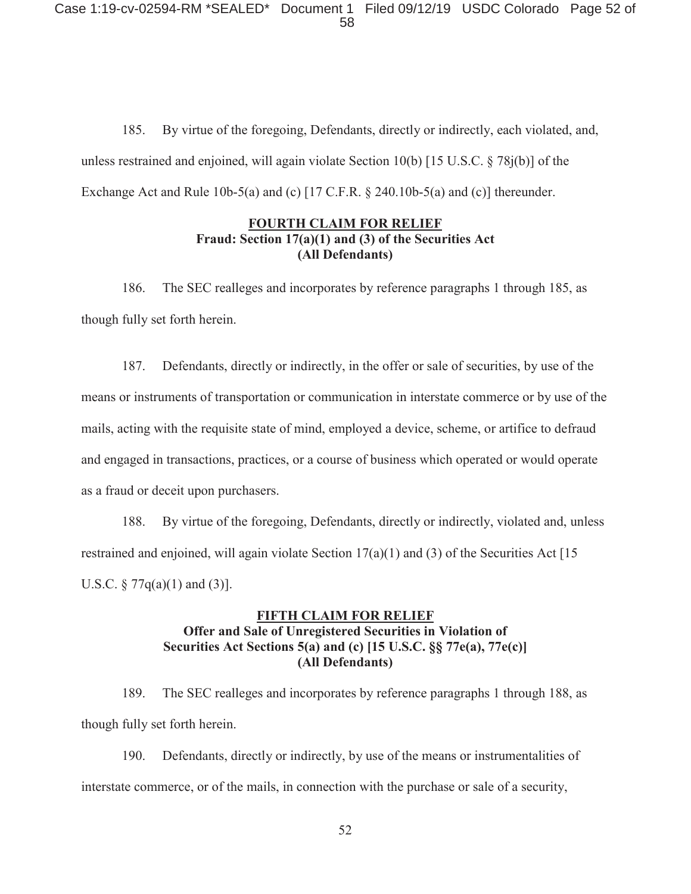Case 1:19-cv-02594-RM \*SEALED\* Document 1 Filed 09/12/19 USDC Colorado Page 52 of 58

185. By virtue of the foregoing, Defendants, directly or indirectly, each violated, and, unless restrained and enjoined, will again violate Section 10(b) [15 U.S.C. § 78j(b)] of the Exchange Act and Rule 10b-5(a) and (c) [17 C.F.R. § 240.10b-5(a) and (c)] thereunder.

## **FOURTH CLAIM FOR RELIEF Fraud: Section 17(a)(1) and (3) of the Securities Act (All Defendants)**

186. The SEC realleges and incorporates by reference paragraphs 1 through 185, as though fully set forth herein.

187. Defendants, directly or indirectly, in the offer or sale of securities, by use of the means or instruments of transportation or communication in interstate commerce or by use of the mails, acting with the requisite state of mind, employed a device, scheme, or artifice to defraud and engaged in transactions, practices, or a course of business which operated or would operate as a fraud or deceit upon purchasers.

188. By virtue of the foregoing, Defendants, directly or indirectly, violated and, unless restrained and enjoined, will again violate Section  $17(a)(1)$  and (3) of the Securities Act [15] U.S.C.  $\S 77q(a)(1)$  and (3)].

# **FIFTH CLAIM FOR RELIEF Offer and Sale of Unregistered Securities in Violation of Securities Act Sections 5(a) and (c) [15 U.S.C. §§ 77e(a), 77e(c)] (All Defendants)**

189. The SEC realleges and incorporates by reference paragraphs 1 through 188, as though fully set forth herein.

190. Defendants, directly or indirectly, by use of the means or instrumentalities of interstate commerce, or of the mails, in connection with the purchase or sale of a security,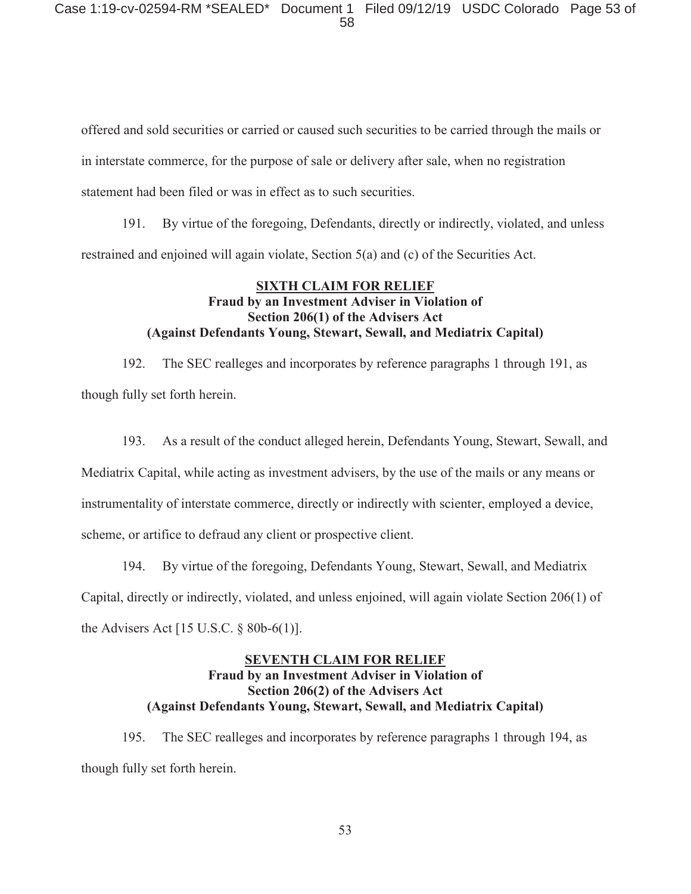offered and sold securities or carried or caused such securities to be carried through the mails or in interstate commerce, for the purpose of sale or delivery after sale, when no registration statement had been filed or was in effect as to such securities.

191. By virtue of the foregoing, Defendants, directly or indirectly, violated, and unless restrained and enjoined will again violate, Section 5(a) and (c) of the Securities Act.

## **SIXTH CLAIM FOR RELIEF Fraud by an Investment Adviser in Violation of Section 206(1) of the Advisers Act (Against Defendants Young, Stewart, Sewall, and Mediatrix Capital)**

192. The SEC realleges and incorporates by reference paragraphs 1 through 191, as though fully set forth herein.

193. As a result of the conduct alleged herein, Defendants Young, Stewart, Sewall, and Mediatrix Capital, while acting as investment advisers, by the use of the mails or any means or instrumentality of interstate commerce, directly or indirectly with scienter, employed a device, scheme, or artifice to defraud any client or prospective client.

194. By virtue of the foregoing, Defendants Young, Stewart, Sewall, and Mediatrix Capital, directly or indirectly, violated, and unless enjoined, will again violate Section 206(1) of the Advisers Act [15 U.S.C. § 80b-6(1)].

# **SEVENTH CLAIM FOR RELIEF Fraud by an Investment Adviser in Violation of Section 206(2) of the Advisers Act (Against Defendants Young, Stewart, Sewall, and Mediatrix Capital)**

195. The SEC realleges and incorporates by reference paragraphs 1 through 194, as though fully set forth herein.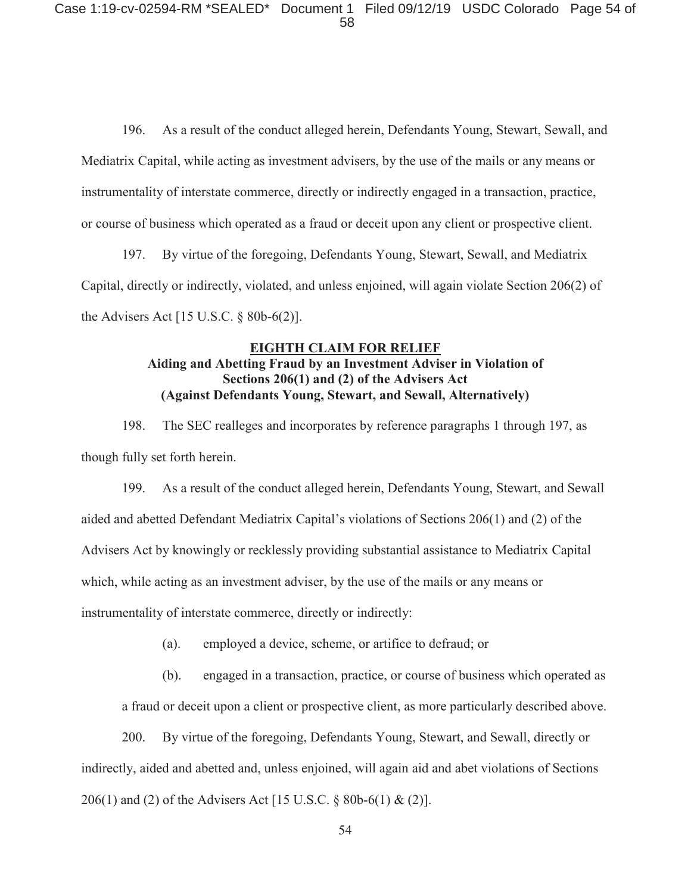196. As a result of the conduct alleged herein, Defendants Young, Stewart, Sewall, and Mediatrix Capital, while acting as investment advisers, by the use of the mails or any means or instrumentality of interstate commerce, directly or indirectly engaged in a transaction, practice, or course of business which operated as a fraud or deceit upon any client or prospective client.

197. By virtue of the foregoing, Defendants Young, Stewart, Sewall, and Mediatrix Capital, directly or indirectly, violated, and unless enjoined, will again violate Section 206(2) of the Advisers Act [15 U.S.C. § 80b-6(2)].

# **EIGHTH CLAIM FOR RELIEF**

# **Aiding and Abetting Fraud by an Investment Adviser in Violation of Sections 206(1) and (2) of the Advisers Act (Against Defendants Young, Stewart, and Sewall, Alternatively)**

198. The SEC realleges and incorporates by reference paragraphs 1 through 197, as though fully set forth herein.

199. As a result of the conduct alleged herein, Defendants Young, Stewart, and Sewall aided and abetted Defendant Mediatrix Capital's violations of Sections 206(1) and (2) of the Advisers Act by knowingly or recklessly providing substantial assistance to Mediatrix Capital which, while acting as an investment adviser, by the use of the mails or any means or instrumentality of interstate commerce, directly or indirectly:

(a). employed a device, scheme, or artifice to defraud; or

(b). engaged in a transaction, practice, or course of business which operated as

a fraud or deceit upon a client or prospective client, as more particularly described above.

200. By virtue of the foregoing, Defendants Young, Stewart, and Sewall, directly or indirectly, aided and abetted and, unless enjoined, will again aid and abet violations of Sections 206(1) and (2) of the Advisers Act [15 U.S.C. § 80b-6(1) & (2)].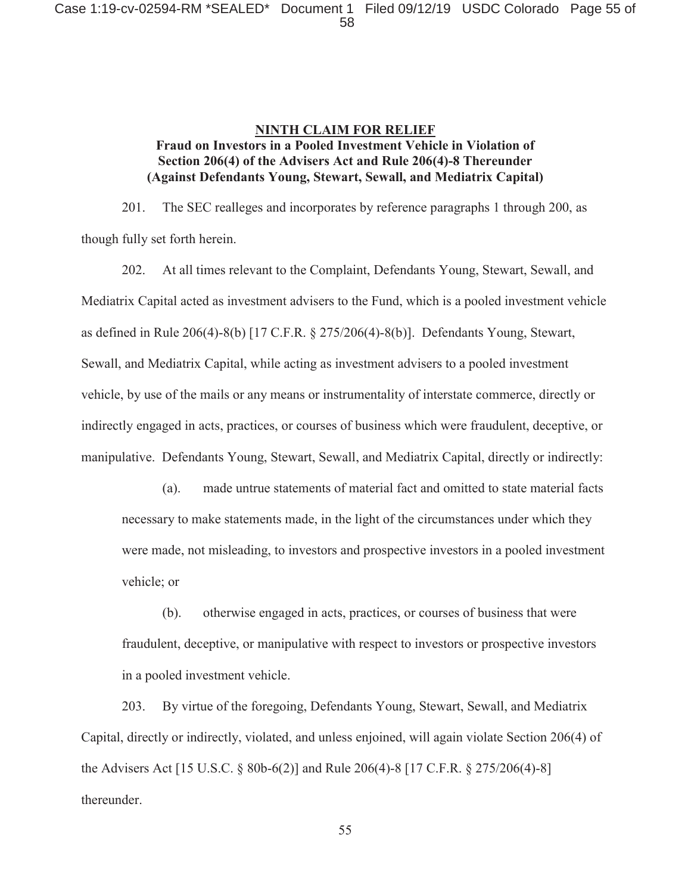## **NINTH CLAIM FOR RELIEF Fraud on Investors in a Pooled Investment Vehicle in Violation of Section 206(4) of the Advisers Act and Rule 206(4)-8 Thereunder (Against Defendants Young, Stewart, Sewall, and Mediatrix Capital)**

201. The SEC realleges and incorporates by reference paragraphs 1 through 200, as though fully set forth herein.

202. At all times relevant to the Complaint, Defendants Young, Stewart, Sewall, and Mediatrix Capital acted as investment advisers to the Fund, which is a pooled investment vehicle as defined in Rule 206(4)-8(b) [17 C.F.R. § 275/206(4)-8(b)]. Defendants Young, Stewart, Sewall, and Mediatrix Capital, while acting as investment advisers to a pooled investment vehicle, by use of the mails or any means or instrumentality of interstate commerce, directly or indirectly engaged in acts, practices, or courses of business which were fraudulent, deceptive, or manipulative. Defendants Young, Stewart, Sewall, and Mediatrix Capital, directly or indirectly:

(a). made untrue statements of material fact and omitted to state material facts necessary to make statements made, in the light of the circumstances under which they were made, not misleading, to investors and prospective investors in a pooled investment vehicle; or

(b). otherwise engaged in acts, practices, or courses of business that were fraudulent, deceptive, or manipulative with respect to investors or prospective investors in a pooled investment vehicle.

203. By virtue of the foregoing, Defendants Young, Stewart, Sewall, and Mediatrix Capital, directly or indirectly, violated, and unless enjoined, will again violate Section 206(4) of the Advisers Act [15 U.S.C. § 80b-6(2)] and Rule 206(4)-8 [17 C.F.R. § 275/206(4)-8] thereunder.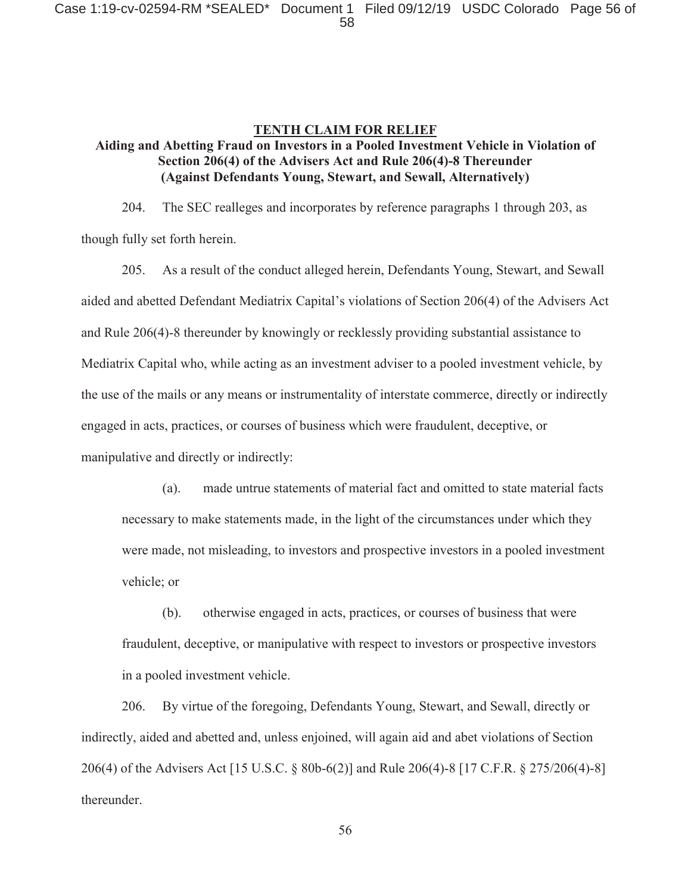### **TENTH CLAIM FOR RELIEF**

# **Aiding and Abetting Fraud on Investors in a Pooled Investment Vehicle in Violation of Section 206(4) of the Advisers Act and Rule 206(4)-8 Thereunder (Against Defendants Young, Stewart, and Sewall, Alternatively)**

204. The SEC realleges and incorporates by reference paragraphs 1 through 203, as though fully set forth herein.

205. As a result of the conduct alleged herein, Defendants Young, Stewart, and Sewall aided and abetted Defendant Mediatrix Capital's violations of Section 206(4) of the Advisers Act and Rule 206(4)-8 thereunder by knowingly or recklessly providing substantial assistance to Mediatrix Capital who, while acting as an investment adviser to a pooled investment vehicle, by the use of the mails or any means or instrumentality of interstate commerce, directly or indirectly engaged in acts, practices, or courses of business which were fraudulent, deceptive, or manipulative and directly or indirectly:

(a). made untrue statements of material fact and omitted to state material facts necessary to make statements made, in the light of the circumstances under which they were made, not misleading, to investors and prospective investors in a pooled investment vehicle; or

(b). otherwise engaged in acts, practices, or courses of business that were fraudulent, deceptive, or manipulative with respect to investors or prospective investors in a pooled investment vehicle.

206. By virtue of the foregoing, Defendants Young, Stewart, and Sewall, directly or indirectly, aided and abetted and, unless enjoined, will again aid and abet violations of Section 206(4) of the Advisers Act [15 U.S.C. § 80b-6(2)] and Rule 206(4)-8 [17 C.F.R. § 275/206(4)-8] thereunder.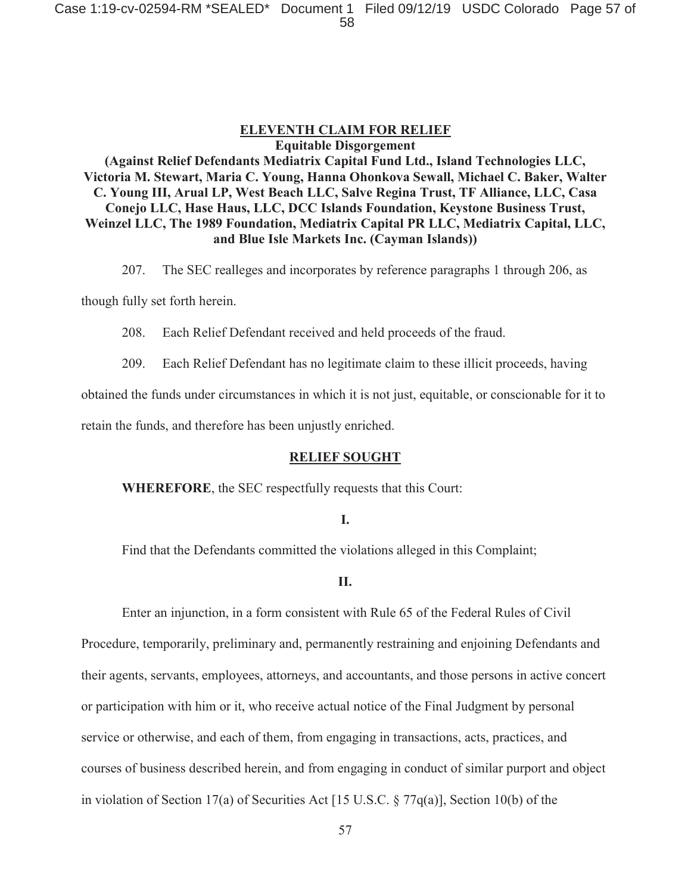### **ELEVENTH CLAIM FOR RELIEF Equitable Disgorgement**

**(Against Relief Defendants Mediatrix Capital Fund Ltd., Island Technologies LLC, Victoria M. Stewart, Maria C. Young, Hanna Ohonkova Sewall, Michael C. Baker, Walter C. Young III, Arual LP, West Beach LLC, Salve Regina Trust, TF Alliance, LLC, Casa Conejo LLC, Hase Haus, LLC, DCC Islands Foundation, Keystone Business Trust, Weinzel LLC, The 1989 Foundation, Mediatrix Capital PR LLC, Mediatrix Capital, LLC, and Blue Isle Markets Inc. (Cayman Islands))** 

207. The SEC realleges and incorporates by reference paragraphs 1 through 206, as

though fully set forth herein.

208. Each Relief Defendant received and held proceeds of the fraud.

209. Each Relief Defendant has no legitimate claim to these illicit proceeds, having

obtained the funds under circumstances in which it is not just, equitable, or conscionable for it to

retain the funds, and therefore has been unjustly enriched.

#### **RELIEF SOUGHT**

**WHEREFORE**, the SEC respectfully requests that this Court:

#### **I.**

Find that the Defendants committed the violations alleged in this Complaint;

### **II.**

 Enter an injunction, in a form consistent with Rule 65 of the Federal Rules of Civil Procedure, temporarily, preliminary and, permanently restraining and enjoining Defendants and their agents, servants, employees, attorneys, and accountants, and those persons in active concert or participation with him or it, who receive actual notice of the Final Judgment by personal service or otherwise, and each of them, from engaging in transactions, acts, practices, and courses of business described herein, and from engaging in conduct of similar purport and object in violation of Section 17(a) of Securities Act [15 U.S.C. § 77q(a)], Section 10(b) of the